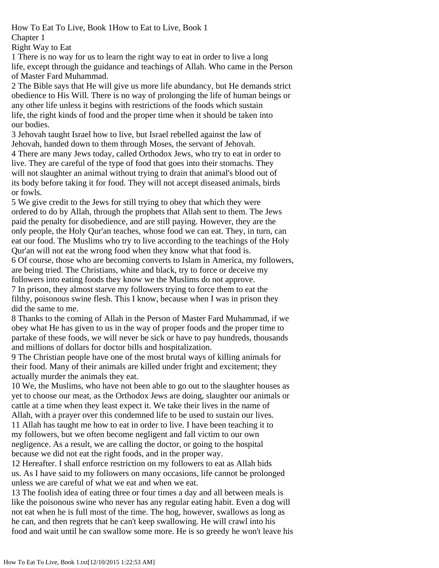How To Eat To Live, Book 1How to Eat to Live, Book 1

Chapter 1

Right Way to Eat

1 There is no way for us to learn the right way to eat in order to live a long life, except through the guidance and teachings of Allah. Who came in the Person of Master Fard Muhammad.

2 The Bible says that He will give us more life abundancy, but He demands strict obedience to His Will. There is no way of prolonging the life of human beings or any other life unless it begins with restrictions of the foods which sustain life, the right kinds of food and the proper time when it should be taken into our bodies.

3 Jehovah taught Israel how to live, but Israel rebelled against the law of Jehovah, handed down to them through Moses, the servant of Jehovah. 4 There are many Jews today, called Orthodox Jews, who try to eat in order to live. They are careful of the type of food that goes into their stomachs. They will not slaughter an animal without trying to drain that animal's blood out of its body before taking it for food. They will not accept diseased animals, birds or fowls.

5 We give credit to the Jews for still trying to obey that which they were ordered to do by Allah, through the prophets that Allah sent to them. The Jews paid the penalty for disobedience, and are still paying. However, they are the only people, the Holy Qur'an teaches, whose food we can eat. They, in turn, can eat our food. The Muslims who try to live according to the teachings of the Holy Qur'an will not eat the wrong food when they know what that food is. 6 Of course, those who are becoming converts to Islam in America, my followers, are being tried. The Christians, white and black, try to force or deceive my followers into eating foods they know we the Muslims do not approve.

7 In prison, they almost starve my followers trying to force them to eat the filthy, poisonous swine flesh. This I know, because when I was in prison they did the same to me.

8 Thanks to the coming of Allah in the Person of Master Fard Muhammad, if we obey what He has given to us in the way of proper foods and the proper time to partake of these foods, we will never be sick or have to pay hundreds, thousands and millions of dollars for doctor bills and hospitalization.

9 The Christian people have one of the most brutal ways of killing animals for their food. Many of their animals are killed under fright and excitement; they actually murder the animals they eat.

10 We, the Muslims, who have not been able to go out to the slaughter houses as yet to choose our meat, as the Orthodox Jews are doing, slaughter our animals or cattle at a time when they least expect it. We take their lives in the name of Allah, with a prayer over this condemned life to be used to sustain our lives. 11 Allah has taught me how to eat in order to live. I have been teaching it to my followers, but we often become negligent and fall victim to our own negligence. As a result, we are calling the doctor, or going to the hospital because we did not eat the right foods, and in the proper way.

12 Hereafter. I shall enforce restriction on my followers to eat as Allah bids us. As I have said to my followers on many occasions, life cannot be prolonged unless we are careful of what we eat and when we eat.

13 The foolish idea of eating three or four times a day and all between meals is like the poisonous swine who never has any regular eating habit. Even a dog will not eat when he is full most of the time. The hog, however, swallows as long as he can, and then regrets that he can't keep swallowing. He will crawl into his food and wait until he can swallow some more. He is so greedy he won't leave his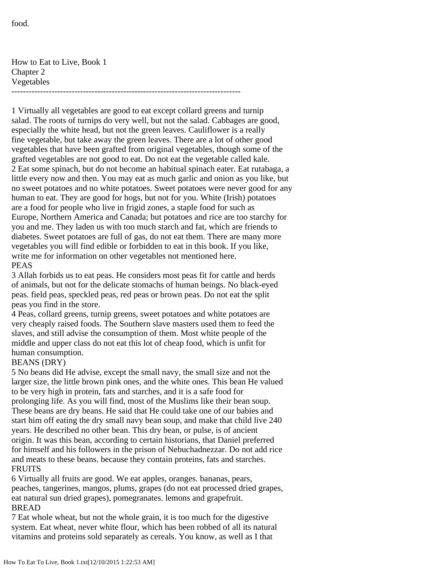food.

How to Eat to Live, Book 1 Chapter 2 Vegetables --------------------------------------------------------------------------------

1 Virtually all vegetables are good to eat except collard greens and turnip salad. The roots of turnips do very well, but not the salad. Cabbages are good, especially the white head, but not the green leaves. Cauliflower is a really fine vegetable, but take away the green leaves. There are a lot of other good vegetables that have been grafted from original vegetables, though some of the grafted vegetables are not good to eat. Do not eat the vegetable called kale. 2 Eat some spinach, but do not become an habitual spinach eater. Eat rutabaga, a little every now and then. You may eat as much garlic and onion as you like, but no sweet potatoes and no white potatoes. Sweet potatoes were never good for any human to eat. They are good for hogs, but not for you. White (Irish) potatoes are a food for people who live in frigid zones, a staple food for such as Europe, Northern America and Canada; but potatoes and rice are too starchy for you and me. They laden us with too much starch and fat, which are friends to diabetes. Sweet potatoes are full of gas, do not eat them. There are many more vegetables you will find edible or forbidden to eat in this book. If you like, write me for information on other vegetables not mentioned here. PEAS

3 Allah forbids us to eat peas. He considers most peas fit for cattle and herds of animals, but not for the delicate stomachs of human beings. No black-eyed peas. field peas, speckled peas, red peas or brown peas. Do not eat the split peas you find in the store.

4 Peas, collard greens, turnip greens, sweet potatoes and white potatoes are very cheaply raised foods. The Southern slave masters used them to feed the slaves, and still advise the consumption of them. Most white people of the middle and upper class do not eat this lot of cheap food, which is unfit for human consumption.

## BEANS (DRY)

5 No beans did He advise, except the small navy, the small size and not the larger size, the little brown pink ones, and the white ones. This bean He valued to be very high in protein, fats and starches, and it is a safe food for prolonging life. As you will find, most of the Muslims like their bean soup. These beans are dry beans. He said that He could take one of our babies and start him off eating the dry small navy bean soup, and make that child live 240 years. He described no other bean. This dry bean, or pulse, is of ancient origin. It was this bean, according to certain historians, that Daniel preferred for himself and his followers in the prison of Nebuchadnezzar. Do not add rice and meats to these beans. because they contain proteins, fats and starches. FRUITS

6 Virtually all fruits are good. We eat apples, oranges. bananas, pears, peaches, tangerines, mangos, plums, grapes (do not eat processed dried grapes, eat natural sun dried grapes), pomegranates. lemons and grapefruit. BREAD

7 Eat whole wheat, but not the whole grain, it is too much for the digestive system. Eat wheat, never white flour, which has been robbed of all its natural vitamins and proteins sold separately as cereals. You know, as well as I that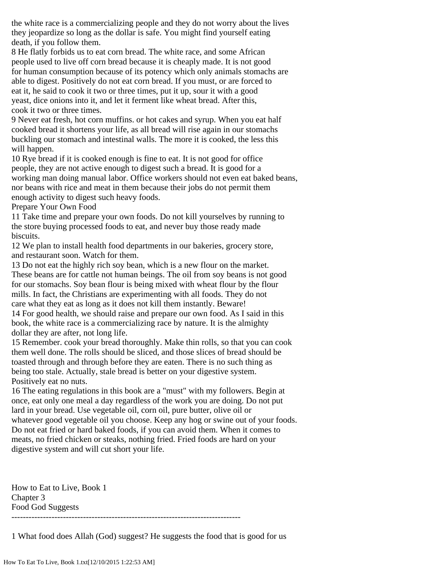the white race is a commercializing people and they do not worry about the lives they jeopardize so long as the dollar is safe. You might find yourself eating death, if you follow them.

8 He flatly forbids us to eat corn bread. The white race, and some African people used to live off corn bread because it is cheaply made. It is not good for human consumption because of its potency which only animals stomachs are able to digest. Positively do not eat corn bread. If you must, or are forced to eat it, he said to cook it two or three times, put it up, sour it with a good yeast, dice onions into it, and let it ferment like wheat bread. After this, cook it two or three times.

9 Never eat fresh, hot corn muffins. or hot cakes and syrup. When you eat half cooked bread it shortens your life, as all bread will rise again in our stomachs buckling our stomach and intestinal walls. The more it is cooked, the less this will happen.

10 Rye bread if it is cooked enough is fine to eat. It is not good for office people, they are not active enough to digest such a bread. It is good for a working man doing manual labor. Office workers should not even eat baked beans, nor beans with rice and meat in them because their jobs do not permit them enough activity to digest such heavy foods.

Prepare Your Own Food

11 Take time and prepare your own foods. Do not kill yourselves by running to the store buying processed foods to eat, and never buy those ready made biscuits.

12 We plan to install health food departments in our bakeries, grocery store, and restaurant soon. Watch for them.

13 Do not eat the highly rich soy bean, which is a new flour on the market. These beans are for cattle not human beings. The oil from soy beans is not good for our stomachs. Soy bean flour is being mixed with wheat flour by the flour mills. In fact, the Christians are experimenting with all foods. They do not care what they eat as long as it does not kill them instantly. Beware!

14 For good health, we should raise and prepare our own food. As I said in this book, the white race is a commercializing race by nature. It is the almighty dollar they are after, not long life.

15 Remember. cook your bread thoroughly. Make thin rolls, so that you can cook them well done. The rolls should be sliced, and those slices of bread should be toasted through and through before they are eaten. There is no such thing as being too stale. Actually, stale bread is better on your digestive system. Positively eat no nuts.

16 The eating regulations in this book are a "must" with my followers. Begin at once, eat only one meal a day regardless of the work you are doing. Do not put lard in your bread. Use vegetable oil, corn oil, pure butter, olive oil or whatever good vegetable oil you choose. Keep any hog or swine out of your foods. Do not eat fried or hard baked foods, if you can avoid them. When it comes to meats, no fried chicken or steaks, nothing fried. Fried foods are hard on your digestive system and will cut short your life.

How to Eat to Live, Book 1 Chapter 3 Food God Suggests

--------------------------------------------------------------------------------

1 What food does Allah (God) suggest? He suggests the food that is good for us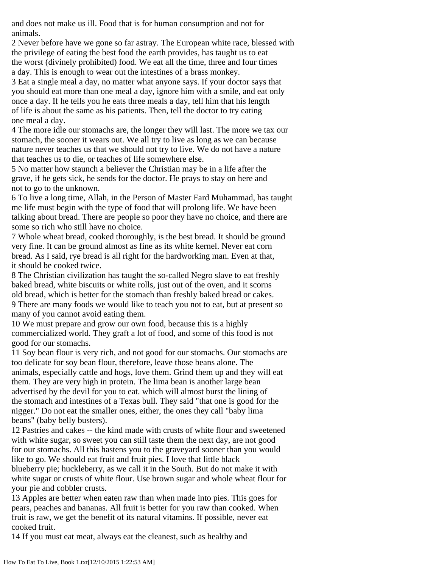and does not make us ill. Food that is for human consumption and not for animals.

2 Never before have we gone so far astray. The European white race, blessed with the privilege of eating the best food the earth provides, has taught us to eat the worst (divinely prohibited) food. We eat all the time, three and four times a day. This is enough to wear out the intestines of a brass monkey.

3 Eat a single meal a day, no matter what anyone says. If your doctor says that you should eat more than one meal a day, ignore him with a smile, and eat only once a day. If he tells you he eats three meals a day, tell him that his length of life is about the same as his patients. Then, tell the doctor to try eating one meal a day.

4 The more idle our stomachs are, the longer they will last. The more we tax our stomach, the sooner it wears out. We all try to live as long as we can because nature never teaches us that we should not try to live. We do not have a nature that teaches us to die, or teaches of life somewhere else.

5 No matter how staunch a believer the Christian may be in a life after the grave, if he gets sick, he sends for the doctor. He prays to stay on here and not to go to the unknown.

6 To live a long time, Allah, in the Person of Master Fard Muhammad, has taught me life must begin with the type of food that will prolong life. We have been talking about bread. There are people so poor they have no choice, and there are some so rich who still have no choice.

7 Whole wheat bread, cooked thoroughly, is the best bread. It should be ground very fine. It can be ground almost as fine as its white kernel. Never eat corn bread. As I said, rye bread is all right for the hardworking man. Even at that, it should be cooked twice.

8 The Christian civilization has taught the so-called Negro slave to eat freshly baked bread, white biscuits or white rolls, just out of the oven, and it scorns old bread, which is better for the stomach than freshly baked bread or cakes. 9 There are many foods we would like to teach you not to eat, but at present so many of you cannot avoid eating them.

10 We must prepare and grow our own food, because this is a highly commercialized world. They graft a lot of food, and some of this food is not good for our stomachs.

11 Soy bean flour is very rich, and not good for our stomachs. Our stomachs are too delicate for soy bean flour, therefore, leave those beans alone. The animals, especially cattle and hogs, love them. Grind them up and they will eat them. They are very high in protein. The lima bean is another large bean advertised by the devil for you to eat. which will almost burst the lining of the stomach and intestines of a Texas bull. They said "that one is good for the nigger." Do not eat the smaller ones, either, the ones they call "baby lima beans" (baby belly busters).

12 Pastries and cakes -- the kind made with crusts of white flour and sweetened with white sugar, so sweet you can still taste them the next day, are not good for our stomachs. All this hastens you to the graveyard sooner than you would like to go. We should eat fruit and fruit pies. I love that little black blueberry pie; huckleberry, as we call it in the South. But do not make it with white sugar or crusts of white flour. Use brown sugar and whole wheat flour for your pie and cobbler crusts.

13 Apples are better when eaten raw than when made into pies. This goes for pears, peaches and bananas. All fruit is better for you raw than cooked. When fruit is raw, we get the benefit of its natural vitamins. If possible, never eat cooked fruit.

14 If you must eat meat, always eat the cleanest, such as healthy and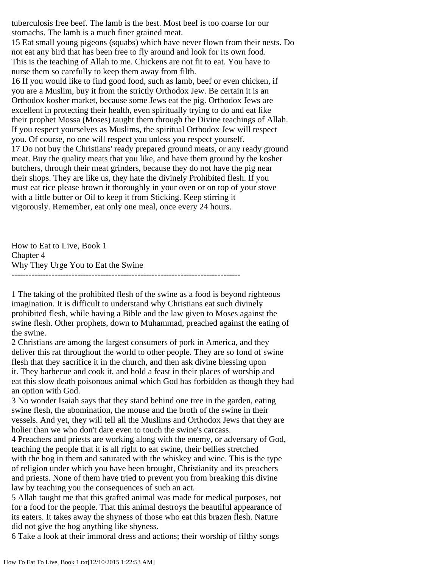tuberculosis free beef. The lamb is the best. Most beef is too coarse for our stomachs. The lamb is a much finer grained meat.

15 Eat small young pigeons (squabs) which have never flown from their nests. Do not eat any bird that has been free to fly around and look for its own food. This is the teaching of Allah to me. Chickens are not fit to eat. You have to nurse them so carefully to keep them away from filth.

16 If you would like to find good food, such as lamb, beef or even chicken, if you are a Muslim, buy it from the strictly Orthodox Jew. Be certain it is an Orthodox kosher market, because some Jews eat the pig. Orthodox Jews are excellent in protecting their health, even spiritually trying to do and eat like their prophet Mossa (Moses) taught them through the Divine teachings of Allah. If you respect yourselves as Muslims, the spiritual Orthodox Jew will respect you. Of course, no one will respect you unless you respect yourself. 17 Do not buy the Christians' ready prepared ground meats, or any ready ground meat. Buy the quality meats that you like, and have them ground by the kosher butchers, through their meat grinders, because they do not have the pig near their shops. They are like us, they hate the divinely Prohibited flesh. If you must eat rice please brown it thoroughly in your oven or on top of your stove with a little butter or Oil to keep it from Sticking. Keep stirring it vigorously. Remember, eat only one meal, once every 24 hours.

How to Eat to Live, Book 1 Chapter 4 Why They Urge You to Eat the Swine --------------------------------------------------------------------------------

1 The taking of the prohibited flesh of the swine as a food is beyond righteous imagination. It is difficult to understand why Christians eat such divinely prohibited flesh, while having a Bible and the law given to Moses against the swine flesh. Other prophets, down to Muhammad, preached against the eating of the swine.

2 Christians are among the largest consumers of pork in America, and they deliver this rat throughout the world to other people. They are so fond of swine flesh that they sacrifice it in the church, and then ask divine blessing upon it. They barbecue and cook it, and hold a feast in their places of worship and eat this slow death poisonous animal which God has forbidden as though they had an option with God.

3 No wonder Isaiah says that they stand behind one tree in the garden, eating swine flesh, the abomination, the mouse and the broth of the swine in their vessels. And yet, they will tell all the Muslims and Orthodox Jews that they are holier than we who don't dare even to touch the swine's carcass.

4 Preachers and priests are working along with the enemy, or adversary of God, teaching the people that it is all right to eat swine, their bellies stretched with the hog in them and saturated with the whiskey and wine. This is the type of religion under which you have been brought, Christianity and its preachers and priests. None of them have tried to prevent you from breaking this divine law by teaching you the consequences of such an act.

5 Allah taught me that this grafted animal was made for medical purposes, not for a food for the people. That this animal destroys the beautiful appearance of its eaters. It takes away the shyness of those who eat this brazen flesh. Nature did not give the hog anything like shyness.

6 Take a look at their immoral dress and actions; their worship of filthy songs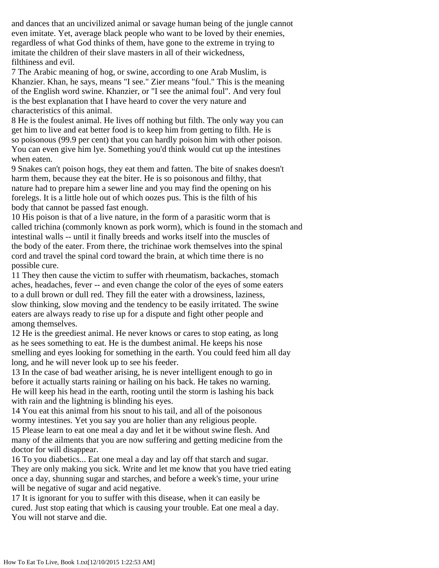and dances that an uncivilized animal or savage human being of the jungle cannot even imitate. Yet, average black people who want to be loved by their enemies, regardless of what God thinks of them, have gone to the extreme in trying to imitate the children of their slave masters in all of their wickedness, filthiness and evil.

7 The Arabic meaning of hog, or swine, according to one Arab Muslim, is Khanzier. Khan, he says, means "I see." Zier means "foul." This is the meaning of the English word swine. Khanzier, or "I see the animal foul". And very foul is the best explanation that I have heard to cover the very nature and characteristics of this animal.

8 He is the foulest animal. He lives off nothing but filth. The only way you can get him to live and eat better food is to keep him from getting to filth. He is so poisonous (99.9 per cent) that you can hardly poison him with other poison. You can even give him lye. Something you'd think would cut up the intestines when eaten.

9 Snakes can't poison hogs, they eat them and fatten. The bite of snakes doesn't harm them, because they eat the biter. He is so poisonous and filthy, that nature had to prepare him a sewer line and you may find the opening on his forelegs. It is a little hole out of which oozes pus. This is the filth of his body that cannot be passed fast enough.

10 His poison is that of a live nature, in the form of a parasitic worm that is called trichina (commonly known as pork worm), which is found in the stomach and intestinal walls -- until it finally breeds and works itself into the muscles of the body of the eater. From there, the trichinae work themselves into the spinal cord and travel the spinal cord toward the brain, at which time there is no possible cure.

11 They then cause the victim to suffer with rheumatism, backaches, stomach aches, headaches, fever -- and even change the color of the eyes of some eaters to a dull brown or dull red. They fill the eater with a drowsiness, laziness, slow thinking, slow moving and the tendency to be easily irritated. The swine eaters are always ready to rise up for a dispute and fight other people and among themselves.

12 He is the greediest animal. He never knows or cares to stop eating, as long as he sees something to eat. He is the dumbest animal. He keeps his nose smelling and eyes looking for something in the earth. You could feed him all day long, and he will never look up to see his feeder.

13 In the case of bad weather arising, he is never intelligent enough to go in before it actually starts raining or hailing on his back. He takes no warning. He will keep his head in the earth, rooting until the storm is lashing his back with rain and the lightning is blinding his eyes.

14 You eat this animal from his snout to his tail, and all of the poisonous wormy intestines. Yet you say you are holier than any religious people.

15 Please learn to eat one meal a day and let it be without swine flesh. And many of the ailments that you are now suffering and getting medicine from the doctor for will disappear.

16 To you diabetics... Eat one meal a day and lay off that starch and sugar. They are only making you sick. Write and let me know that you have tried eating once a day, shunning sugar and starches, and before a week's time, your urine will be negative of sugar and acid negative.

17 It is ignorant for you to suffer with this disease, when it can easily be cured. Just stop eating that which is causing your trouble. Eat one meal a day. You will not starve and die.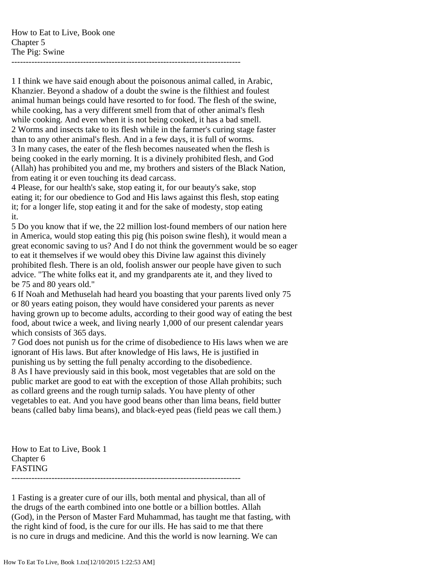--------------------------------------------------------------------------------

1 I think we have said enough about the poisonous animal called, in Arabic, Khanzier. Beyond a shadow of a doubt the swine is the filthiest and foulest animal human beings could have resorted to for food. The flesh of the swine, while cooking, has a very different smell from that of other animal's flesh while cooking. And even when it is not being cooked, it has a bad smell. 2 Worms and insects take to its flesh while in the farmer's curing stage faster than to any other animal's flesh. And in a few days, it is full of worms. 3 In many cases, the eater of the flesh becomes nauseated when the flesh is being cooked in the early morning. It is a divinely prohibited flesh, and God (Allah) has prohibited you and me, my brothers and sisters of the Black Nation, from eating it or even touching its dead carcass.

4 Please, for our health's sake, stop eating it, for our beauty's sake, stop eating it; for our obedience to God and His laws against this flesh, stop eating it; for a longer life, stop eating it and for the sake of modesty, stop eating it.

5 Do you know that if we, the 22 million lost-found members of our nation here in America, would stop eating this pig (his poison swine flesh), it would mean a great economic saving to us? And I do not think the government would be so eager to eat it themselves if we would obey this Divine law against this divinely prohibited flesh. There is an old, foolish answer our people have given to such advice. "The white folks eat it, and my grandparents ate it, and they lived to be 75 and 80 years old."

6 If Noah and Methuselah had heard you boasting that your parents lived only 75 or 80 years eating poison, they would have considered your parents as never having grown up to become adults, according to their good way of eating the best food, about twice a week, and living nearly 1,000 of our present calendar years which consists of 365 days.

7 God does not punish us for the crime of disobedience to His laws when we are ignorant of His laws. But after knowledge of His laws, He is justified in punishing us by setting the full penalty according to the disobedience.

8 As I have previously said in this book, most vegetables that are sold on the public market are good to eat with the exception of those Allah prohibits; such as collard greens and the rough turnip salads. You have plenty of other vegetables to eat. And you have good beans other than lima beans, field butter beans (called baby lima beans), and black-eyed peas (field peas we call them.)

How to Eat to Live, Book 1 Chapter 6 FASTING --------------------------------------------------------------------------------

1 Fasting is a greater cure of our ills, both mental and physical, than all of the drugs of the earth combined into one bottle or a billion bottles. Allah (God), in the Person of Master Fard Muhammad, has taught me that fasting, with the right kind of food, is the cure for our ills. He has said to me that there is no cure in drugs and medicine. And this the world is now learning. We can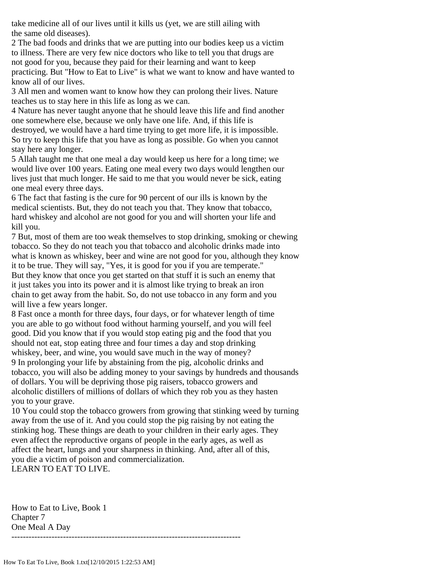take medicine all of our lives until it kills us (yet, we are still ailing with the same old diseases).

2 The bad foods and drinks that we are putting into our bodies keep us a victim to illness. There are very few nice doctors who like to tell you that drugs are not good for you, because they paid for their learning and want to keep practicing. But "How to Eat to Live" is what we want to know and have wanted to know all of our lives.

3 All men and women want to know how they can prolong their lives. Nature teaches us to stay here in this life as long as we can.

4 Nature has never taught anyone that he should leave this life and find another one somewhere else, because we only have one life. And, if this life is destroyed, we would have a hard time trying to get more life, it is impossible. So try to keep this life that you have as long as possible. Go when you cannot stay here any longer.

5 Allah taught me that one meal a day would keep us here for a long time; we would live over 100 years. Eating one meal every two days would lengthen our lives just that much longer. He said to me that you would never be sick, eating one meal every three days.

6 The fact that fasting is the cure for 90 percent of our ills is known by the medical scientists. But, they do not teach you that. They know that tobacco, hard whiskey and alcohol are not good for you and will shorten your life and kill you.

7 But, most of them are too weak themselves to stop drinking, smoking or chewing tobacco. So they do not teach you that tobacco and alcoholic drinks made into what is known as whiskey, beer and wine are not good for you, although they know it to be true. They will say, "Yes, it is good for you if you are temperate." But they know that once you get started on that stuff it is such an enemy that it just takes you into its power and it is almost like trying to break an iron chain to get away from the habit. So, do not use tobacco in any form and you will live a few years longer.

8 Fast once a month for three days, four days, or for whatever length of time you are able to go without food without harming yourself, and you will feel good. Did you know that if you would stop eating pig and the food that you should not eat, stop eating three and four times a day and stop drinking whiskey, beer, and wine, you would save much in the way of money? 9 In prolonging your life by abstaining from the pig, alcoholic drinks and tobacco, you will also be adding money to your savings by hundreds and thousands of dollars. You will be depriving those pig raisers, tobacco growers and alcoholic distillers of millions of dollars of which they rob you as they hasten you to your grave.

10 You could stop the tobacco growers from growing that stinking weed by turning away from the use of it. And you could stop the pig raising by not eating the stinking hog. These things are death to your children in their early ages. They even affect the reproductive organs of people in the early ages, as well as affect the heart, lungs and your sharpness in thinking. And, after all of this, you die a victim of poison and commercialization. LEARN TO EAT TO LIVE.

How to Eat to Live, Book 1 Chapter 7 One Meal A Day

--------------------------------------------------------------------------------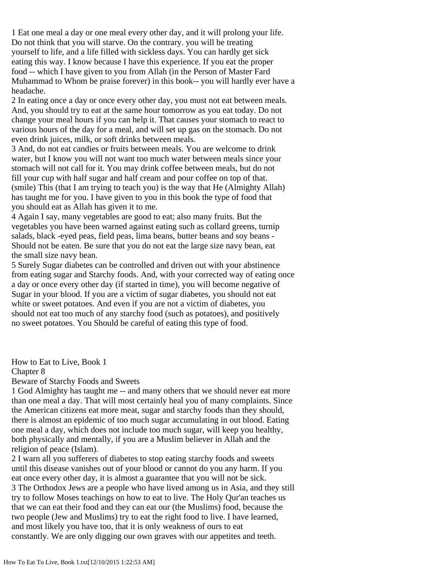1 Eat one meal a day or one meal every other day, and it will prolong your life. Do not think that you will starve. On the contrary. you will be treating yourself to life, and a life filled with sickless days. You can hardly get sick eating this way. I know because I have this experience. If you eat the proper food -- which I have given to you from Allah (in the Person of Master Fard Muhammad to Whom be praise forever) in this book-- you will hardly ever have a headache.

2 In eating once a day or once every other day, you must not eat between meals. And, you should try to eat at the same hour tomorrow as you eat today. Do not change your meal hours if you can help it. That causes your stomach to react to various hours of the day for a meal, and will set up gas on the stomach. Do not even drink juices, milk, or soft drinks between meals.

3 And, do not eat candies or fruits between meals. You are welcome to drink water, but I know you will not want too much water between meals since your stomach will not call for it. You may drink coffee between meals, but do not fill your cup with half sugar and half cream and pour coffee on top of that. (smile) This (that I am trying to teach you) is the way that He (Almighty Allah) has taught me for you. I have given to you in this book the type of food that you should eat as Allah has given it to me.

4 Again I say, many vegetables are good to eat; also many fruits. But the vegetables you have been warned against eating such as collard greens, turnip salads, black -eyed peas, field peas, lima beans, butter beans and soy beans - Should not be eaten. Be sure that you do not eat the large size navy bean, eat the small size navy bean.

5 Surely Sugar diabetes can be controlled and driven out with your abstinence from eating sugar and Starchy foods. And, with your corrected way of eating once a day or once every other day (if started in time), you will become negative of Sugar in your blood. If you are a victim of sugar diabetes, you should not eat white or sweet potatoes. And even if you are not a victim of diabetes, you should not eat too much of any starchy food (such as potatoes), and positively no sweet potatoes. You Should be careful of eating this type of food.

How to Eat to Live, Book 1

Chapter 8

Beware of Starchy Foods and Sweets

1 God Almighty has taught me -- and many others that we should never eat more than one meal a day. That will most certainly heal you of many complaints. Since the American citizens eat more meat, sugar and starchy foods than they should, there is almost an epidemic of too much sugar accumulating in out blood. Eating one meal a day, which does not include too much sugar, will keep you healthy, both physically and mentally, if you are a Muslim believer in Allah and the religion of peace (Islam).

2 I warn all you sufferers of diabetes to stop eating starchy foods and sweets until this disease vanishes out of your blood or cannot do you any harm. If you eat once every other day, it is almost a guarantee that you will not be sick. 3 The Orthodox Jews are a people who have lived among us in Asia, and they still try to follow Moses teachings on how to eat to live. The Holy Qur'an teaches us that we can eat their food and they can eat our (the Muslims) food, because the two people (Jew and Muslims) try to eat the right food to live. I have learned, and most likely you have too, that it is only weakness of ours to eat constantly. We are only digging our own graves with our appetites and teeth.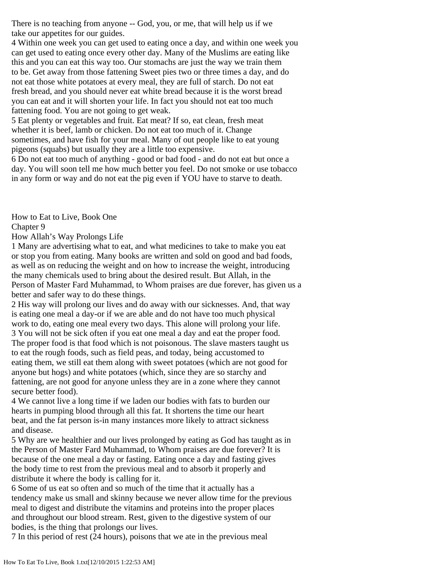There is no teaching from anyone -- God, you, or me, that will help us if we take our appetites for our guides.

4 Within one week you can get used to eating once a day, and within one week you can get used to eating once every other day. Many of the Muslims are eating like this and you can eat this way too. Our stomachs are just the way we train them to be. Get away from those fattening Sweet pies two or three times a day, and do not eat those white potatoes at every meal, they are full of starch. Do not eat fresh bread, and you should never eat white bread because it is the worst bread you can eat and it will shorten your life. In fact you should not eat too much fattening food. You are not going to get weak.

5 Eat plenty or vegetables and fruit. Eat meat? If so, eat clean, fresh meat whether it is beef, lamb or chicken. Do not eat too much of it. Change sometimes, and have fish for your meal. Many of out people like to eat young pigeons (squabs) but usually they are a little too expensive.

6 Do not eat too much of anything - good or bad food - and do not eat but once a day. You will soon tell me how much better you feel. Do not smoke or use tobacco in any form or way and do not eat the pig even if YOU have to starve to death.

How to Eat to Live, Book One Chapter 9

How Allah's Way Prolongs Life

1 Many are advertising what to eat, and what medicines to take to make you eat or stop you from eating. Many books are written and sold on good and bad foods, as well as on reducing the weight and on how to increase the weight, introducing the many chemicals used to bring about the desired result. But Allah, in the Person of Master Fard Muhammad, to Whom praises are due forever, has given us a better and safer way to do these things.

2 His way will prolong our lives and do away with our sicknesses. And, that way is eating one meal a day-or if we are able and do not have too much physical work to do, eating one meal every two days. This alone will prolong your life. 3 You will not be sick often if you eat one meal a day and eat the proper food. The proper food is that food which is not poisonous. The slave masters taught us to eat the rough foods, such as field peas, and today, being accustomed to eating them, we still eat them along with sweet potatoes (which are not good for anyone but hogs) and white potatoes (which, since they are so starchy and fattening, are not good for anyone unless they are in a zone where they cannot secure better food).

4 We cannot live a long time if we laden our bodies with fats to burden our hearts in pumping blood through all this fat. It shortens the time our heart beat, and the fat person is-in many instances more likely to attract sickness and disease.

5 Why are we healthier and our lives prolonged by eating as God has taught as in the Person of Master Fard Muhammad, to Whom praises are due forever? It is because of the one meal a day or fasting. Eating once a day and fasting gives the body time to rest from the previous meal and to absorb it properly and distribute it where the body is calling for it.

6 Some of us eat so often and so much of the time that it actually has a tendency make us small and skinny because we never allow time for the previous meal to digest and distribute the vitamins and proteins into the proper places and throughout our blood stream. Rest, given to the digestive system of our bodies, is the thing that prolongs our lives.

7 In this period of rest (24 hours), poisons that we ate in the previous meal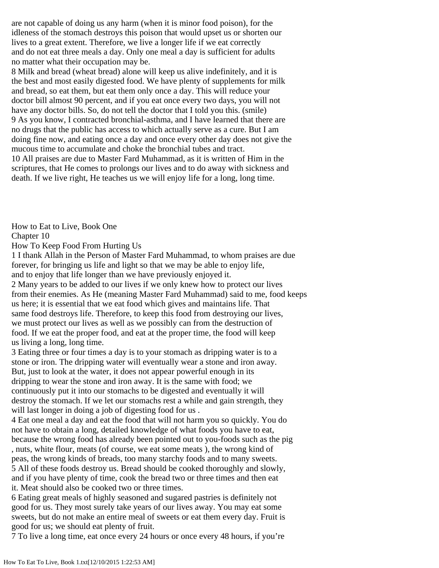are not capable of doing us any harm (when it is minor food poison), for the idleness of the stomach destroys this poison that would upset us or shorten our lives to a great extent. Therefore, we live a longer life if we eat correctly and do not eat three meals a day. Only one meal a day is sufficient for adults no matter what their occupation may be.

8 Milk and bread (wheat bread) alone will keep us alive indefinitely, and it is the best and most easily digested food. We have plenty of supplements for milk and bread, so eat them, but eat them only once a day. This will reduce your doctor bill almost 90 percent, and if you eat once every two days, you will not have any doctor bills. So, do not tell the doctor that I told you this. (smile) 9 As you know, I contracted bronchial-asthma, and I have learned that there are no drugs that the public has access to which actually serve as a cure. But I am doing fine now, and eating once a day and once every other day does not give the mucous time to accumulate and choke the bronchial tubes and tract. 10 All praises are due to Master Fard Muhammad, as it is written of Him in the scriptures, that He comes to prolongs our lives and to do away with sickness and

death. If we live right, He teaches us we will enjoy life for a long, long time.

How to Eat to Live, Book One Chapter 10 How To Keep Food From Hurting Us

1 I thank Allah in the Person of Master Fard Muhammad, to whom praises are due forever, for bringing us life and light so that we may be able to enjoy life, and to enjoy that life longer than we have previously enjoyed it. 2 Many years to be added to our lives if we only knew how to protect our lives

from their enemies. As He (meaning Master Fard Muhammad) said to me, food keeps us here; it is essential that we eat food which gives and maintains life. That same food destroys life. Therefore, to keep this food from destroying our lives, we must protect our lives as well as we possibly can from the destruction of food. If we eat the proper food, and eat at the proper time, the food will keep us living a long, long time.

3 Eating three or four times a day is to your stomach as dripping water is to a stone or iron. The dripping water will eventually wear a stone and iron away. But, just to look at the water, it does not appear powerful enough in its dripping to wear the stone and iron away. It is the same with food; we continuously put it into our stomachs to be digested and eventually it will destroy the stomach. If we let our stomachs rest a while and gain strength, they will last longer in doing a job of digesting food for us .

4 Eat one meal a day and eat the food that will not harm you so quickly. You do not have to obtain a long, detailed knowledge of what foods you have to eat, because the wrong food has already been pointed out to you-foods such as the pig , nuts, white flour, meats (of course, we eat some meats ), the wrong kind of peas, the wrong kinds of breads, too many starchy foods and to many sweets. 5 All of these foods destroy us. Bread should be cooked thoroughly and slowly, and if you have plenty of time, cook the bread two or three times and then eat it. Meat should also be cooked two or three times.

6 Eating great meals of highly seasoned and sugared pastries is definitely not good for us. They most surely take years of our lives away. You may eat some sweets, but do not make an entire meal of sweets or eat them every day. Fruit is good for us; we should eat plenty of fruit.

7 To live a long time, eat once every 24 hours or once every 48 hours, if you're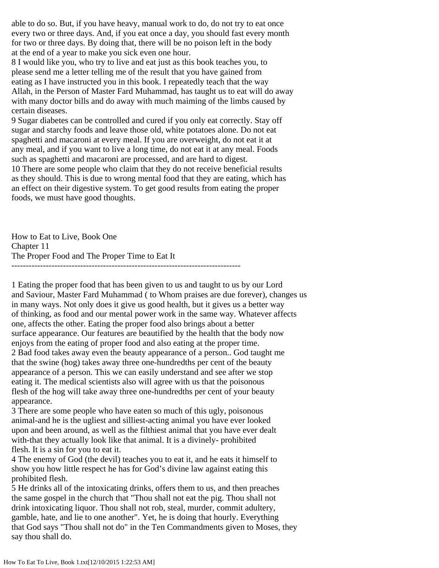able to do so. But, if you have heavy, manual work to do, do not try to eat once every two or three days. And, if you eat once a day, you should fast every month for two or three days. By doing that, there will be no poison left in the body at the end of a year to make you sick even one hour.

8 I would like you, who try to live and eat just as this book teaches you, to please send me a letter telling me of the result that you have gained from eating as I have instructed you in this book. I repeatedly teach that the way Allah, in the Person of Master Fard Muhammad, has taught us to eat will do away with many doctor bills and do away with much maiming of the limbs caused by certain diseases.

9 Sugar diabetes can be controlled and cured if you only eat correctly. Stay off sugar and starchy foods and leave those old, white potatoes alone. Do not eat spaghetti and macaroni at every meal. If you are overweight, do not eat it at any meal, and if you want to live a long time, do not eat it at any meal. Foods such as spaghetti and macaroni are processed, and are hard to digest.

10 There are some people who claim that they do not receive beneficial results as they should. This is due to wrong mental food that they are eating, which has an effect on their digestive system. To get good results from eating the proper foods, we must have good thoughts.

How to Eat to Live, Book One Chapter 11 The Proper Food and The Proper Time to Eat It --------------------------------------------------------------------------------

1 Eating the proper food that has been given to us and taught to us by our Lord and Saviour, Master Fard Muhammad ( to Whom praises are due forever), changes us in many ways. Not only does it give us good health, but it gives us a better way of thinking, as food and our mental power work in the same way. Whatever affects one, affects the other. Eating the proper food also brings about a better surface appearance. Our features are beautified by the health that the body now enjoys from the eating of proper food and also eating at the proper time. 2 Bad food takes away even the beauty appearance of a person.. God taught me that the swine (hog) takes away three one-hundredths per cent of the beauty appearance of a person. This we can easily understand and see after we stop eating it. The medical scientists also will agree with us that the poisonous flesh of the hog will take away three one-hundredths per cent of your beauty appearance.

3 There are some people who have eaten so much of this ugly, poisonous animal-and he is the ugliest and silliest-acting animal you have ever looked upon and been around, as well as the filthiest animal that you have ever dealt with-that they actually look like that animal. It is a divinely- prohibited flesh. It is a sin for you to eat it.

4 The enemy of God (the devil) teaches you to eat it, and he eats it himself to show you how little respect he has for God's divine law against eating this prohibited flesh.

5 He drinks all of the intoxicating drinks, offers them to us, and then preaches the same gospel in the church that "Thou shall not eat the pig. Thou shall not drink intoxicating liquor. Thou shall not rob, steal, murder, commit adultery, gamble, hate, and lie to one another". Yet, he is doing that hourly. Everything that God says "Thou shall not do" in the Ten Commandments given to Moses, they say thou shall do.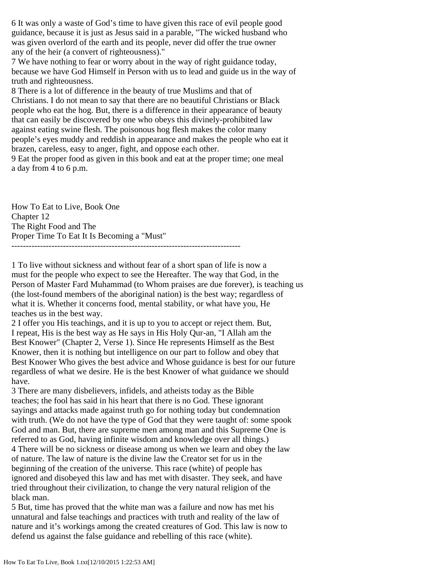6 It was only a waste of God's time to have given this race of evil people good guidance, because it is just as Jesus said in a parable, "The wicked husband who was given overlord of the earth and its people, never did offer the true owner any of the heir (a convert of righteousness)."

7 We have nothing to fear or worry about in the way of right guidance today, because we have God Himself in Person with us to lead and guide us in the way of truth and righteousness.

8 There is a lot of difference in the beauty of true Muslims and that of Christians. I do not mean to say that there are no beautiful Christians or Black people who eat the hog. But, there is a difference in their appearance of beauty that can easily be discovered by one who obeys this divinely-prohibited law against eating swine flesh. The poisonous hog flesh makes the color many people's eyes muddy and reddish in appearance and makes the people who eat it brazen, careless, easy to anger, fight, and oppose each other.

9 Eat the proper food as given in this book and eat at the proper time; one meal a day from 4 to 6 p.m.

How To Eat to Live, Book One Chapter 12 The Right Food and The Proper Time To Eat It Is Becoming a "Must" --------------------------------------------------------------------------------

1 To live without sickness and without fear of a short span of life is now a must for the people who expect to see the Hereafter. The way that God, in the Person of Master Fard Muhammad (to Whom praises are due forever), is teaching us (the lost-found members of the aboriginal nation) is the best way; regardless of what it is. Whether it concerns food, mental stability, or what have you, He teaches us in the best way.

2 I offer you His teachings, and it is up to you to accept or reject them. But, I repeat, His is the best way as He says in His Holy Qur-an, "I Allah am the Best Knower" (Chapter 2, Verse 1). Since He represents Himself as the Best Knower, then it is nothing but intelligence on our part to follow and obey that Best Knower Who gives the best advice and Whose guidance is best for our future regardless of what we desire. He is the best Knower of what guidance we should have.

3 There are many disbelievers, infidels, and atheists today as the Bible teaches; the fool has said in his heart that there is no God. These ignorant sayings and attacks made against truth go for nothing today but condemnation with truth. (We do not have the type of God that they were taught of: some spook God and man. But, there are supreme men among man and this Supreme One is referred to as God, having infinite wisdom and knowledge over all things.) 4 There will be no sickness or disease among us when we learn and obey the law of nature. The law of nature is the divine law the Creator set for us in the beginning of the creation of the universe. This race (white) of people has ignored and disobeyed this law and has met with disaster. They seek, and have tried throughout their civilization, to change the very natural religion of the black man.

5 But, time has proved that the white man was a failure and now has met his unnatural and false teachings and practices with truth and reality of the law of nature and it's workings among the created creatures of God. This law is now to defend us against the false guidance and rebelling of this race (white).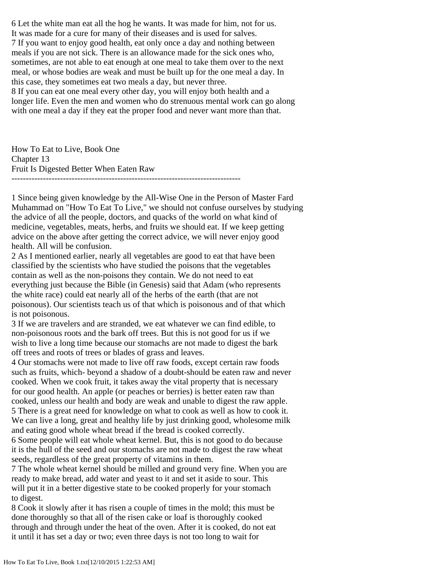6 Let the white man eat all the hog he wants. It was made for him, not for us. It was made for a cure for many of their diseases and is used for salves. 7 If you want to enjoy good health, eat only once a day and nothing between meals if you are not sick. There is an allowance made for the sick ones who, sometimes, are not able to eat enough at one meal to take them over to the next meal, or whose bodies are weak and must be built up for the one meal a day. In this case, they sometimes eat two meals a day, but never three. 8 If you can eat one meal every other day, you will enjoy both health and a longer life. Even the men and women who do strenuous mental work can go along with one meal a day if they eat the proper food and never want more than that.

How To Eat to Live, Book One Chapter 13 Fruit Is Digested Better When Eaten Raw --------------------------------------------------------------------------------

1 Since being given knowledge by the All-Wise One in the Person of Master Fard Muhammad on "How To Eat To Live," we should not confuse ourselves by studying the advice of all the people, doctors, and quacks of the world on what kind of medicine, vegetables, meats, herbs, and fruits we should eat. If we keep getting advice on the above after getting the correct advice, we will never enjoy good health. All will be confusion.

2 As I mentioned earlier, nearly all vegetables are good to eat that have been classified by the scientists who have studied the poisons that the vegetables contain as well as the non-poisons they contain. We do not need to eat everything just because the Bible (in Genesis) said that Adam (who represents the white race) could eat nearly all of the herbs of the earth (that are not poisonous). Our scientists teach us of that which is poisonous and of that which is not poisonous.

3 If we are travelers and are stranded, we eat whatever we can find edible, to non-poisonous roots and the bark off trees. But this is not good for us if we wish to live a long time because our stomachs are not made to digest the bark off trees and roots of trees or blades of grass and leaves.

4 Our stomachs were not made to live off raw foods, except certain raw foods such as fruits, which- beyond a shadow of a doubt-should be eaten raw and never cooked. When we cook fruit, it takes away the vital property that is necessary for our good health. An apple (or peaches or berries) is better eaten raw than cooked, unless our health and body are weak and unable to digest the raw apple. 5 There is a great need for knowledge on what to cook as well as how to cook it. We can live a long, great and healthy life by just drinking good, wholesome milk and eating good whole wheat bread if the bread is cooked correctly.

6 Some people will eat whole wheat kernel. But, this is not good to do because it is the hull of the seed and our stomachs are not made to digest the raw wheat seeds, regardless of the great property of vitamins in them.

7 The whole wheat kernel should be milled and ground very fine. When you are ready to make bread, add water and yeast to it and set it aside to sour. This will put it in a better digestive state to be cooked properly for your stomach to digest.

8 Cook it slowly after it has risen a couple of times in the mold; this must be done thoroughly so that all of the risen cake or loaf is thoroughly cooked through and through under the heat of the oven. After it is cooked, do not eat it until it has set a day or two; even three days is not too long to wait for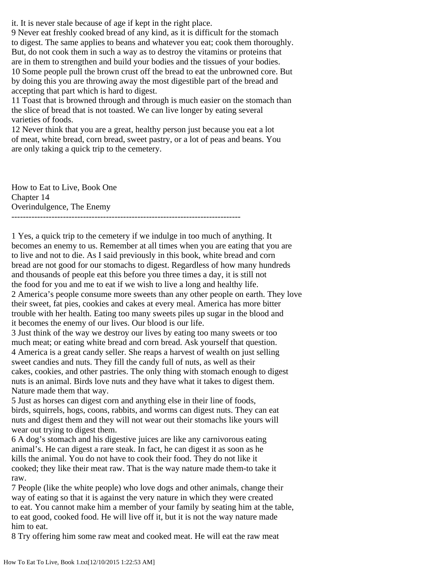it. It is never stale because of age if kept in the right place.

9 Never eat freshly cooked bread of any kind, as it is difficult for the stomach to digest. The same applies to beans and whatever you eat; cook them thoroughly. But, do not cook them in such a way as to destroy the vitamins or proteins that are in them to strengthen and build your bodies and the tissues of your bodies. 10 Some people pull the brown crust off the bread to eat the unbrowned core. But by doing this you are throwing away the most digestible part of the bread and accepting that part which is hard to digest.

11 Toast that is browned through and through is much easier on the stomach than the slice of bread that is not toasted. We can live longer by eating several varieties of foods.

12 Never think that you are a great, healthy person just because you eat a lot of meat, white bread, corn bread, sweet pastry, or a lot of peas and beans. You are only taking a quick trip to the cemetery.

How to Eat to Live, Book One Chapter 14 Overindulgence, The Enemy --------------------------------------------------------------------------------

1 Yes, a quick trip to the cemetery if we indulge in too much of anything. It becomes an enemy to us. Remember at all times when you are eating that you are to live and not to die. As I said previously in this book, white bread and corn bread are not good for our stomachs to digest. Regardless of how many hundreds and thousands of people eat this before you three times a day, it is still not the food for you and me to eat if we wish to live a long and healthy life. 2 America's people consume more sweets than any other people on earth. They love their sweet, fat pies, cookies and cakes at every meal. America has more bitter trouble with her health. Eating too many sweets piles up sugar in the blood and it becomes the enemy of our lives. Our blood is our life.

3 Just think of the way we destroy our lives by eating too many sweets or too much meat; or eating white bread and corn bread. Ask yourself that question. 4 America is a great candy seller. She reaps a harvest of wealth on just selling sweet candies and nuts. They fill the candy full of nuts, as well as their cakes, cookies, and other pastries. The only thing with stomach enough to digest nuts is an animal. Birds love nuts and they have what it takes to digest them. Nature made them that way.

5 Just as horses can digest corn and anything else in their line of foods, birds, squirrels, hogs, coons, rabbits, and worms can digest nuts. They can eat nuts and digest them and they will not wear out their stomachs like yours will wear out trying to digest them.

6 A dog's stomach and his digestive juices are like any carnivorous eating animal's. He can digest a rare steak. In fact, he can digest it as soon as he kills the animal. You do not have to cook their food. They do not like it cooked; they like their meat raw. That is the way nature made them-to take it raw.

7 People (like the white people) who love dogs and other animals, change their way of eating so that it is against the very nature in which they were created to eat. You cannot make him a member of your family by seating him at the table, to eat good, cooked food. He will live off it, but it is not the way nature made him to eat.

8 Try offering him some raw meat and cooked meat. He will eat the raw meat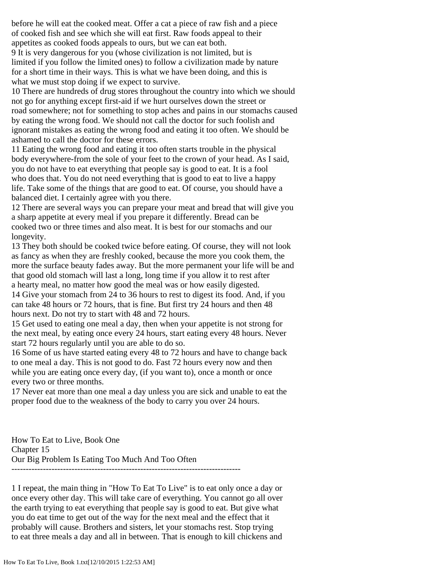before he will eat the cooked meat. Offer a cat a piece of raw fish and a piece of cooked fish and see which she will eat first. Raw foods appeal to their appetites as cooked foods appeals to ours, but we can eat both. 9 It is very dangerous for you (whose civilization is not limited, but is limited if you follow the limited ones) to follow a civilization made by nature for a short time in their ways. This is what we have been doing, and this is what we must stop doing if we expect to survive.

10 There are hundreds of drug stores throughout the country into which we should not go for anything except first-aid if we hurt ourselves down the street or road somewhere; not for something to stop aches and pains in our stomachs caused by eating the wrong food. We should not call the doctor for such foolish and ignorant mistakes as eating the wrong food and eating it too often. We should be ashamed to call the doctor for these errors.

11 Eating the wrong food and eating it too often starts trouble in the physical body everywhere-from the sole of your feet to the crown of your head. As I said, you do not have to eat everything that people say is good to eat. It is a fool who does that. You do not need everything that is good to eat to live a happy life. Take some of the things that are good to eat. Of course, you should have a balanced diet. I certainly agree with you there.

12 There are several ways you can prepare your meat and bread that will give you a sharp appetite at every meal if you prepare it differently. Bread can be cooked two or three times and also meat. It is best for our stomachs and our longevity.

13 They both should be cooked twice before eating. Of course, they will not look as fancy as when they are freshly cooked, because the more you cook them, the more the surface beauty fades away. But the more permanent your life will be and that good old stomach will last a long, long time if you allow it to rest after a hearty meal, no matter how good the meal was or how easily digested. 14 Give your stomach from 24 to 36 hours to rest to digest its food. And, if you can take 48 hours or 72 hours, that is fine. But first try 24 hours and then 48 hours next. Do not try to start with 48 and 72 hours.

15 Get used to eating one meal a day, then when your appetite is not strong for the next meal, by eating once every 24 hours, start eating every 48 hours. Never start 72 hours regularly until you are able to do so.

16 Some of us have started eating every 48 to 72 hours and have to change back to one meal a day. This is not good to do. Fast 72 hours every now and then while you are eating once every day, (if you want to), once a month or once every two or three months.

17 Never eat more than one meal a day unless you are sick and unable to eat the proper food due to the weakness of the body to carry you over 24 hours.

How To Eat to Live, Book One Chapter 15 Our Big Problem Is Eating Too Much And Too Often --------------------------------------------------------------------------------

1 I repeat, the main thing in "How To Eat To Live" is to eat only once a day or once every other day. This will take care of everything. You cannot go all over the earth trying to eat everything that people say is good to eat. But give what you do eat time to get out of the way for the next meal and the effect that it probably will cause. Brothers and sisters, let your stomachs rest. Stop trying to eat three meals a day and all in between. That is enough to kill chickens and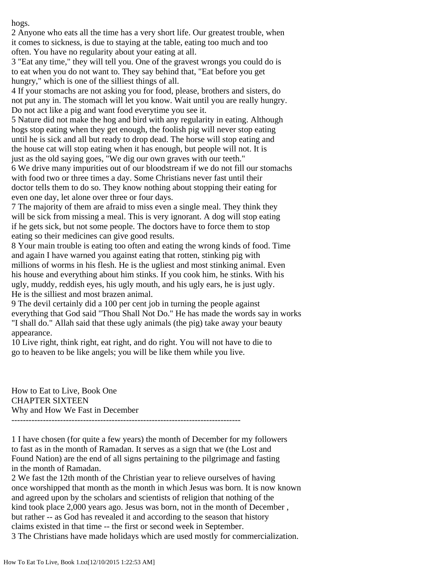hogs.

2 Anyone who eats all the time has a very short life. Our greatest trouble, when it comes to sickness, is due to staying at the table, eating too much and too often. You have no regularity about your eating at all.

3 "Eat any time," they will tell you. One of the gravest wrongs you could do is to eat when you do not want to. They say behind that, "Eat before you get hungry," which is one of the silliest things of all.

4 If your stomachs are not asking you for food, please, brothers and sisters, do not put any in. The stomach will let you know. Wait until you are really hungry. Do not act like a pig and want food everytime you see it.

5 Nature did not make the hog and bird with any regularity in eating. Although hogs stop eating when they get enough, the foolish pig will never stop eating until he is sick and all but ready to drop dead. The horse will stop eating and the house cat will stop eating when it has enough, but people will not. It is just as the old saying goes, "We dig our own graves with our teeth."

6 We drive many impurities out of our bloodstream if we do not fill our stomachs with food two or three times a day. Some Christians never fast until their doctor tells them to do so. They know nothing about stopping their eating for even one day, let alone over three or four days.

7 The majority of them are afraid to miss even a single meal. They think they will be sick from missing a meal. This is very ignorant. A dog will stop eating if he gets sick, but not some people. The doctors have to force them to stop eating so their medicines can give good results.

8 Your main trouble is eating too often and eating the wrong kinds of food. Time and again I have warned you against eating that rotten, stinking pig with millions of worms in his flesh. He is the ugliest and most stinking animal. Even his house and everything about him stinks. If you cook him, he stinks. With his ugly, muddy, reddish eyes, his ugly mouth, and his ugly ears, he is just ugly. He is the silliest and most brazen animal.

9 The devil certainly did a 100 per cent job in turning the people against everything that God said "Thou Shall Not Do." He has made the words say in works "I shall do." Allah said that these ugly animals (the pig) take away your beauty appearance.

10 Live right, think right, eat right, and do right. You will not have to die to go to heaven to be like angels; you will be like them while you live.

How to Eat to Live, Book One CHAPTER SIXTEEN Why and How We Fast in December

--------------------------------------------------------------------------------

1 I have chosen (for quite a few years) the month of December for my followers to fast as in the month of Ramadan. It serves as a sign that we (the Lost and Found Nation) are the end of all signs pertaining to the pilgrimage and fasting in the month of Ramadan.

2 We fast the 12th month of the Christian year to relieve ourselves of having once worshipped that month as the month in which Jesus was born. It is now known and agreed upon by the scholars and scientists of religion that nothing of the kind took place 2,000 years ago. Jesus was born, not in the month of December , but rather -- as God has revealed it and according to the season that history claims existed in that time -- the first or second week in September.

3 The Christians have made holidays which are used mostly for commercialization.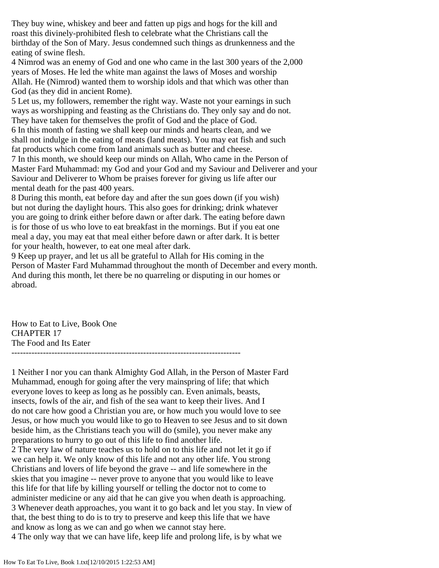They buy wine, whiskey and beer and fatten up pigs and hogs for the kill and roast this divinely-prohibited flesh to celebrate what the Christians call the birthday of the Son of Mary. Jesus condemned such things as drunkenness and the eating of swine flesh.

4 Nimrod was an enemy of God and one who came in the last 300 years of the 2,000 years of Moses. He led the white man against the laws of Moses and worship Allah. He (Nimrod) wanted them to worship idols and that which was other than God (as they did in ancient Rome).

5 Let us, my followers, remember the right way. Waste not your earnings in such ways as worshipping and feasting as the Christians do. They only say and do not. They have taken for themselves the profit of God and the place of God. 6 In this month of fasting we shall keep our minds and hearts clean, and we shall not indulge in the eating of meats (land meats). You may eat fish and such fat products which come from land animals such as butter and cheese.

7 In this month, we should keep our minds on Allah, Who came in the Person of Master Fard Muhammad: my God and your God and my Saviour and Deliverer and your Saviour and Deliverer to Whom be praises forever for giving us life after our mental death for the past 400 years.

8 During this month, eat before day and after the sun goes down (if you wish) but not during the daylight hours. This also goes for drinking; drink whatever you are going to drink either before dawn or after dark. The eating before dawn is for those of us who love to eat breakfast in the mornings. But if you eat one meal a day, you may eat that meal either before dawn or after dark. It is better for your health, however, to eat one meal after dark.

9 Keep up prayer, and let us all be grateful to Allah for His coming in the Person of Master Fard Muhammad throughout the month of December and every month. And during this month, let there be no quarreling or disputing in our homes or abroad.

How to Eat to Live, Book One CHAPTER 17 The Food and Its Eater

--------------------------------------------------------------------------------

1 Neither I nor you can thank Almighty God Allah, in the Person of Master Fard Muhammad, enough for going after the very mainspring of life; that which everyone loves to keep as long as he possibly can. Even animals, beasts, insects, fowls of the air, and fish of the sea want to keep their lives. And I do not care how good a Christian you are, or how much you would love to see Jesus, or how much you would like to go to Heaven to see Jesus and to sit down beside him, as the Christians teach you will do (smile), you never make any preparations to hurry to go out of this life to find another life. 2 The very law of nature teaches us to hold on to this life and not let it go if we can help it. We only know of this life and not any other life. You strong Christians and lovers of life beyond the grave -- and life somewhere in the skies that you imagine -- never prove to anyone that you would like to leave this life for that life by killing yourself or telling the doctor not to come to administer medicine or any aid that he can give you when death is approaching. 3 Whenever death approaches, you want it to go back and let you stay. In view of that, the best thing to do is to try to preserve and keep this life that we have and know as long as we can and go when we cannot stay here. 4 The only way that we can have life, keep life and prolong life, is by what we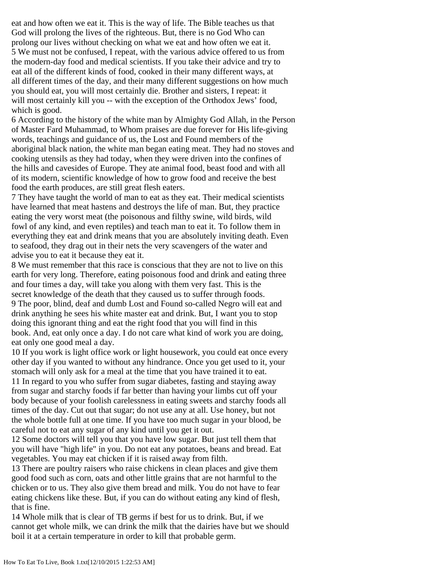eat and how often we eat it. This is the way of life. The Bible teaches us that God will prolong the lives of the righteous. But, there is no God Who can prolong our lives without checking on what we eat and how often we eat it. 5 We must not be confused, I repeat, with the various advice offered to us from the modern-day food and medical scientists. If you take their advice and try to eat all of the different kinds of food, cooked in their many different ways, at all different times of the day, and their many different suggestions on how much you should eat, you will most certainly die. Brother and sisters, I repeat: it will most certainly kill you -- with the exception of the Orthodox Jews' food, which is good.

6 According to the history of the white man by Almighty God Allah, in the Person of Master Fard Muhammad, to Whom praises are due forever for His life-giving words, teachings and guidance of us, the Lost and Found members of the aboriginal black nation, the white man began eating meat. They had no stoves and cooking utensils as they had today, when they were driven into the confines of the hills and cavesides of Europe. They ate animal food, beast food and with all of its modern, scientific knowledge of how to grow food and receive the best food the earth produces, are still great flesh eaters.

7 They have taught the world of man to eat as they eat. Their medical scientists have learned that meat hastens and destroys the life of man. But, they practice eating the very worst meat (the poisonous and filthy swine, wild birds, wild fowl of any kind, and even reptiles) and teach man to eat it. To follow them in everything they eat and drink means that you are absolutely inviting death. Even to seafood, they drag out in their nets the very scavengers of the water and advise you to eat it because they eat it.

8 We must remember that this race is conscious that they are not to live on this earth for very long. Therefore, eating poisonous food and drink and eating three and four times a day, will take you along with them very fast. This is the secret knowledge of the death that they caused us to suffer through foods. 9 The poor, blind, deaf and dumb Lost and Found so-called Negro will eat and drink anything he sees his white master eat and drink. But, I want you to stop doing this ignorant thing and eat the right food that you will find in this book. And, eat only once a day. I do not care what kind of work you are doing, eat only one good meal a day.

10 If you work is light office work or light housework, you could eat once every other day if you wanted to without any hindrance. Once you get used to it, your stomach will only ask for a meal at the time that you have trained it to eat. 11 In regard to you who suffer from sugar diabetes, fasting and staying away from sugar and starchy foods if far better than having your limbs cut off your body because of your foolish carelessness in eating sweets and starchy foods all times of the day. Cut out that sugar; do not use any at all. Use honey, but not the whole bottle full at one time. If you have too much sugar in your blood, be careful not to eat any sugar of any kind until you get it out.

12 Some doctors will tell you that you have low sugar. But just tell them that you will have "high life" in you. Do not eat any potatoes, beans and bread. Eat vegetables. You may eat chicken if it is raised away from filth.

13 There are poultry raisers who raise chickens in clean places and give them good food such as corn, oats and other little grains that are not harmful to the chicken or to us. They also give them bread and milk. You do not have to fear eating chickens like these. But, if you can do without eating any kind of flesh, that is fine.

14 Whole milk that is clear of TB germs if best for us to drink. But, if we cannot get whole milk, we can drink the milk that the dairies have but we should boil it at a certain temperature in order to kill that probable germ.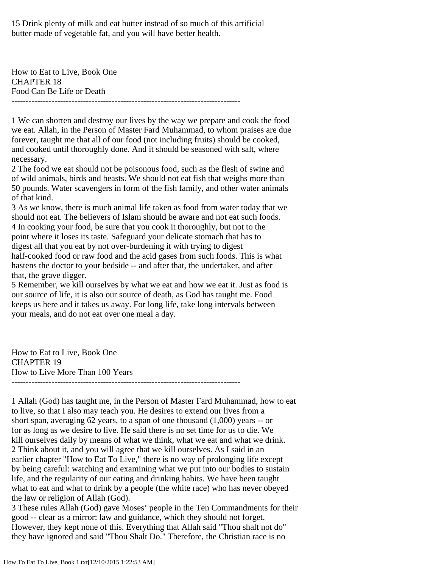15 Drink plenty of milk and eat butter instead of so much of this artificial butter made of vegetable fat, and you will have better health.

How to Eat to Live, Book One CHAPTER 18 Food Can Be Life or Death --------------------------------------------------------------------------------

1 We can shorten and destroy our lives by the way we prepare and cook the food we eat. Allah, in the Person of Master Fard Muhammad, to whom praises are due forever, taught me that all of our food (not including fruits) should be cooked, and cooked until thoroughly done. And it should be seasoned with salt, where necessary.

2 The food we eat should not be poisonous food, such as the flesh of swine and of wild animals, birds and beasts. We should not eat fish that weighs more than 50 pounds. Water scavengers in form of the fish family, and other water animals of that kind.

3 As we know, there is much animal life taken as food from water today that we should not eat. The believers of Islam should be aware and not eat such foods. 4 In cooking your food, be sure that you cook it thoroughly, but not to the point where it loses its taste. Safeguard your delicate stomach that has to digest all that you eat by not over-burdening it with trying to digest half-cooked food or raw food and the acid gases from such foods. This is what hastens the doctor to your bedside -- and after that, the undertaker, and after that, the grave digger.

5 Remember, we kill ourselves by what we eat and how we eat it. Just as food is our source of life, it is also our source of death, as God has taught me. Food keeps us here and it takes us away. For long life, take long intervals between your meals, and do not eat over one meal a day.

How to Eat to Live, Book One CHAPTER 19 How to Live More Than 100 Years

1 Allah (God) has taught me, in the Person of Master Fard Muhammad, how to eat to live, so that I also may teach you. He desires to extend our lives from a short span, averaging 62 years, to a span of one thousand (1,000) years -- or for as long as we desire to live. He said there is no set time for us to die. We kill ourselves daily by means of what we think, what we eat and what we drink. 2 Think about it, and you will agree that we kill ourselves. As I said in an earlier chapter "How to Eat To Live," there is no way of prolonging life except by being careful: watching and examining what we put into our bodies to sustain life, and the regularity of our eating and drinking habits. We have been taught what to eat and what to drink by a people (the white race) who has never obeyed the law or religion of Allah (God).

3 These rules Allah (God) gave Moses' people in the Ten Commandments for their good -- clear as a mirror: law and guidance, which they should not forget. However, they kept none of this. Everything that Allah said "Thou shalt not do" they have ignored and said "Thou Shalt Do." Therefore, the Christian race is no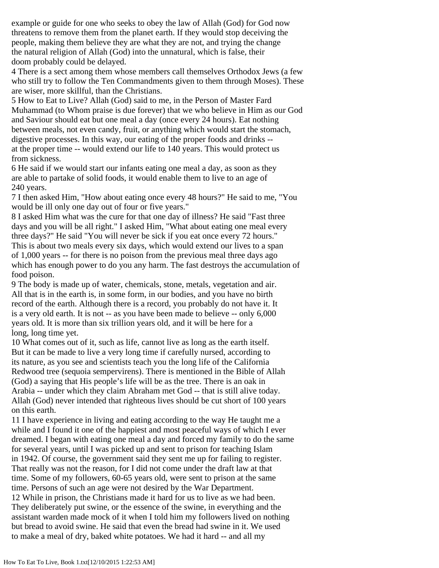example or guide for one who seeks to obey the law of Allah (God) for God now threatens to remove them from the planet earth. If they would stop deceiving the people, making them believe they are what they are not, and trying the change the natural religion of Allah (God) into the unnatural, which is false, their doom probably could be delayed.

4 There is a sect among them whose members call themselves Orthodox Jews (a few who still try to follow the Ten Commandments given to them through Moses). These are wiser, more skillful, than the Christians.

5 How to Eat to Live? Allah (God) said to me, in the Person of Master Fard Muhammad (to Whom praise is due forever) that we who believe in Him as our God and Saviour should eat but one meal a day (once every 24 hours). Eat nothing between meals, not even candy, fruit, or anything which would start the stomach, digestive processes. In this way, our eating of the proper foods and drinks - at the proper time -- would extend our life to 140 years. This would protect us from sickness.

6 He said if we would start our infants eating one meal a day, as soon as they are able to partake of solid foods, it would enable them to live to an age of 240 years.

7 I then asked Him, "How about eating once every 48 hours?" He said to me, "You would be ill only one day out of four or five years."

8 I asked Him what was the cure for that one day of illness? He said "Fast three days and you will be all right." I asked Him, "What about eating one meal every three days?" He said "You will never be sick if you eat once every 72 hours." This is about two meals every six days, which would extend our lives to a span of 1,000 years -- for there is no poison from the previous meal three days ago which has enough power to do you any harm. The fast destroys the accumulation of food poison.

9 The body is made up of water, chemicals, stone, metals, vegetation and air. All that is in the earth is, in some form, in our bodies, and you have no birth record of the earth. Although there is a record, you probably do not have it. It is a very old earth. It is not -- as you have been made to believe -- only 6,000 years old. It is more than six trillion years old, and it will be here for a long, long time yet.

10 What comes out of it, such as life, cannot live as long as the earth itself. But it can be made to live a very long time if carefully nursed, according to its nature, as you see and scientists teach you the long life of the California Redwood tree (sequoia sempervirens). There is mentioned in the Bible of Allah (God) a saying that His people's life will be as the tree. There is an oak in Arabia -- under which they claim Abraham met God -- that is still alive today. Allah (God) never intended that righteous lives should be cut short of 100 years on this earth.

11 I have experience in living and eating according to the way He taught me a while and I found it one of the happiest and most peaceful ways of which I ever dreamed. I began with eating one meal a day and forced my family to do the same for several years, until I was picked up and sent to prison for teaching Islam in 1942. Of course, the government said they sent me up for failing to register. That really was not the reason, for I did not come under the draft law at that time. Some of my followers, 60-65 years old, were sent to prison at the same time. Persons of such an age were not desired by the War Department. 12 While in prison, the Christians made it hard for us to live as we had been. They deliberately put swine, or the essence of the swine, in everything and the assistant warden made mock of it when I told him my followers lived on nothing but bread to avoid swine. He said that even the bread had swine in it. We used to make a meal of dry, baked white potatoes. We had it hard -- and all my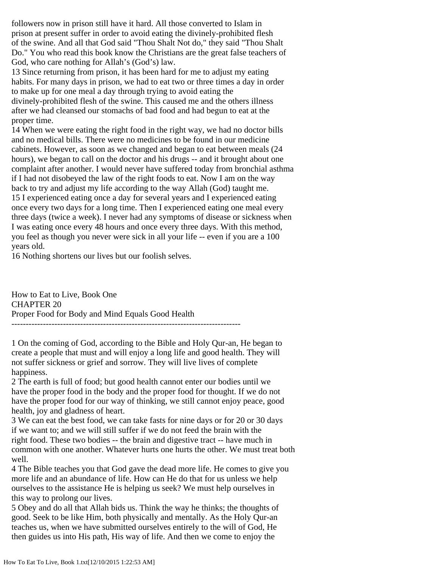followers now in prison still have it hard. All those converted to Islam in prison at present suffer in order to avoid eating the divinely-prohibited flesh of the swine. And all that God said "Thou Shalt Not do," they said "Thou Shalt Do." You who read this book know the Christians are the great false teachers of God, who care nothing for Allah's (God's) law.

13 Since returning from prison, it has been hard for me to adjust my eating habits. For many days in prison, we had to eat two or three times a day in order to make up for one meal a day through trying to avoid eating the divinely-prohibited flesh of the swine. This caused me and the others illness after we had cleansed our stomachs of bad food and had begun to eat at the proper time.

14 When we were eating the right food in the right way, we had no doctor bills and no medical bills. There were no medicines to be found in our medicine cabinets. However, as soon as we changed and began to eat between meals (24 hours), we began to call on the doctor and his drugs -- and it brought about one complaint after another. I would never have suffered today from bronchial asthma if I had not disobeyed the law of the right foods to eat. Now I am on the way back to try and adjust my life according to the way Allah (God) taught me. 15 I experienced eating once a day for several years and I experienced eating once every two days for a long time. Then I experienced eating one meal every three days (twice a week). I never had any symptoms of disease or sickness when I was eating once every 48 hours and once every three days. With this method, you feel as though you never were sick in all your life -- even if you are a 100 years old.

16 Nothing shortens our lives but our foolish selves.

How to Eat to Live, Book One CHAPTER 20 Proper Food for Body and Mind Equals Good Health --------------------------------------------------------------------------------

1 On the coming of God, according to the Bible and Holy Qur-an, He began to create a people that must and will enjoy a long life and good health. They will not suffer sickness or grief and sorrow. They will live lives of complete happiness.

2 The earth is full of food; but good health cannot enter our bodies until we have the proper food in the body and the proper food for thought. If we do not have the proper food for our way of thinking, we still cannot enjoy peace, good health, joy and gladness of heart.

3 We can eat the best food, we can take fasts for nine days or for 20 or 30 days if we want to; and we will still suffer if we do not feed the brain with the right food. These two bodies -- the brain and digestive tract -- have much in common with one another. Whatever hurts one hurts the other. We must treat both well.

4 The Bible teaches you that God gave the dead more life. He comes to give you more life and an abundance of life. How can He do that for us unless we help ourselves to the assistance He is helping us seek? We must help ourselves in this way to prolong our lives.

5 Obey and do all that Allah bids us. Think the way he thinks; the thoughts of good. Seek to be like Him, both physically and mentally. As the Holy Qur-an teaches us, when we have submitted ourselves entirely to the will of God, He then guides us into His path, His way of life. And then we come to enjoy the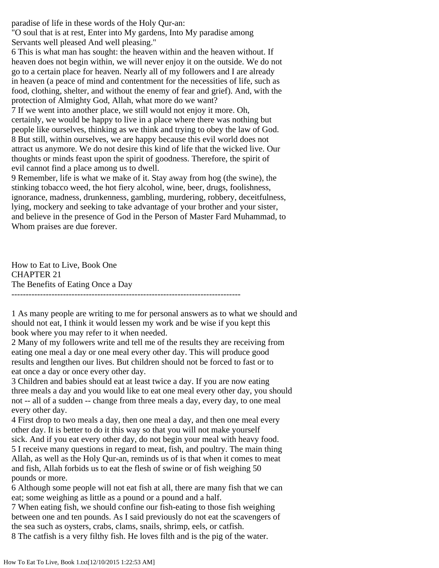paradise of life in these words of the Holy Qur-an:

"O soul that is at rest, Enter into My gardens, Into My paradise among Servants well pleased And well pleasing."

6 This is what man has sought: the heaven within and the heaven without. If heaven does not begin within, we will never enjoy it on the outside. We do not go to a certain place for heaven. Nearly all of my followers and I are already in heaven (a peace of mind and contentment for the necessities of life, such as food, clothing, shelter, and without the enemy of fear and grief). And, with the protection of Almighty God, Allah, what more do we want?

7 If we went into another place, we still would not enjoy it more. Oh, certainly, we would be happy to live in a place where there was nothing but people like ourselves, thinking as we think and trying to obey the law of God. 8 But still, within ourselves, we are happy because this evil world does not attract us anymore. We do not desire this kind of life that the wicked live. Our thoughts or minds feast upon the spirit of goodness. Therefore, the spirit of evil cannot find a place among us to dwell.

9 Remember, life is what we make of it. Stay away from hog (the swine), the stinking tobacco weed, the hot fiery alcohol, wine, beer, drugs, foolishness, ignorance, madness, drunkenness, gambling, murdering, robbery, deceitfulness, lying, mockery and seeking to take advantage of your brother and your sister, and believe in the presence of God in the Person of Master Fard Muhammad, to Whom praises are due forever.

How to Eat to Live, Book One CHAPTER 21 The Benefits of Eating Once a Day --------------------------------------------------------------------------------

1 As many people are writing to me for personal answers as to what we should and should not eat, I think it would lessen my work and be wise if you kept this book where you may refer to it when needed.

2 Many of my followers write and tell me of the results they are receiving from eating one meal a day or one meal every other day. This will produce good results and lengthen our lives. But children should not be forced to fast or to eat once a day or once every other day.

3 Children and babies should eat at least twice a day. If you are now eating three meals a day and you would like to eat one meal every other day, you should not -- all of a sudden -- change from three meals a day, every day, to one meal every other day.

4 First drop to two meals a day, then one meal a day, and then one meal every other day. It is better to do it this way so that you will not make yourself sick. And if you eat every other day, do not begin your meal with heavy food. 5 I receive many questions in regard to meat, fish, and poultry. The main thing Allah, as well as the Holy Qur-an, reminds us of is that when it comes to meat and fish, Allah forbids us to eat the flesh of swine or of fish weighing 50 pounds or more.

6 Although some people will not eat fish at all, there are many fish that we can eat; some weighing as little as a pound or a pound and a half.

7 When eating fish, we should confine our fish-eating to those fish weighing between one and ten pounds. As I said previously do not eat the scavengers of the sea such as oysters, crabs, clams, snails, shrimp, eels, or catfish.

8 The catfish is a very filthy fish. He loves filth and is the pig of the water.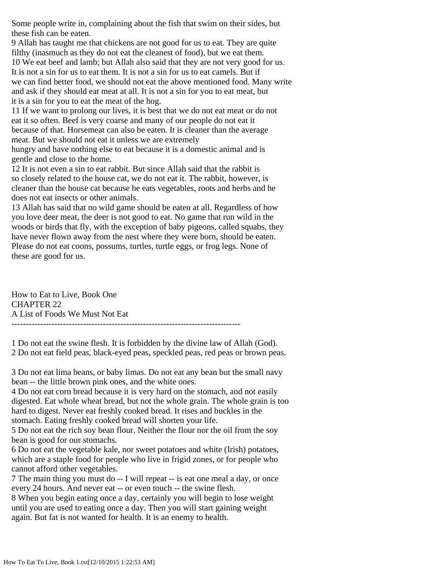Some people write in, complaining about the fish that swim on their sides, but these fish can be eaten.

9 Allah has taught me that chickens are not good for us to eat. They are quite filthy (inasmuch as they do not eat the cleanest of food), but we eat them. 10 We eat beef and lamb; but Allah also said that they are not very good for us. It is not a sin for us to eat them. It is not a sin for us to eat camels. But if we can find better food, we should not eat the above mentioned food. Many write and ask if they should eat meat at all. It is not a sin for you to eat meat, but it is a sin for you to eat the meat of the hog.

11 If we want to prolong our lives, it is best that we do not eat meat or do not eat it so often. Beef is very coarse and many of our people do not eat it because of that. Horsemeat can also be eaten. It is cleaner than the average meat. But we should not eat it unless we are extremely

hungry and have nothing else to eat because it is a domestic animal and is gentle and close to the home.

12 It is not even a sin to eat rabbit. But since Allah said that the rabbit is so closely related to the house cat, we do not eat it. The rabbit, however, is cleaner than the house cat because he eats vegetables, roots and herbs and he does not eat insects or other animals.

13 Allah has said that no wild game should be eaten at all. Regardless of how you love deer meat, the deer is not good to eat. No game that run wild in the woods or birds that fly, with the exception of baby pigeons, called squabs, they have never flown away from the nest where they were born, should be eaten. Please do not eat coons, possums, turtles, turtle eggs, or frog legs. None of these are good for us.

How to Eat to Live, Book One CHAPTER 22 A List of Foods We Must Not Eat --------------------------------------------------------------------------------

1 Do not eat the swine flesh. It is forbidden by the divine law of Allah (God). 2 Do not eat field peas, black-eyed peas, speckled peas, red peas or brown peas.

3 Do not eat lima beans, or baby limas. Do not eat any bean but the small navy bean -- the little brown pink ones, and the white ones.

4 Do not eat corn bread because it is very hard on the stomach, and not easily digested. Eat whole wheat bread, but not the whole grain. The whole grain is too hard to digest. Never eat freshly cooked bread. It rises and buckles in the stomach. Eating freshly cooked bread will shorten your life.

5 Do not eat the rich soy bean flour. Neither the flour nor the oil from the soy bean is good for our stomachs.

6 Do not eat the vegetable kale, nor sweet potatoes and white (Irish) potatoes, which are a staple food for people who live in frigid zones, or for people who cannot afford other vegetables.

7 The main thing you must do -- I will repeat -- is eat one meal a day, or once every 24 hours. And never eat -- or even touch -- the swine flesh.

8 When you begin eating once a day, certainly you will begin to lose weight until you are used to eating once a day. Then you will start gaining weight again. But fat is not wanted for health. It is an enemy to health.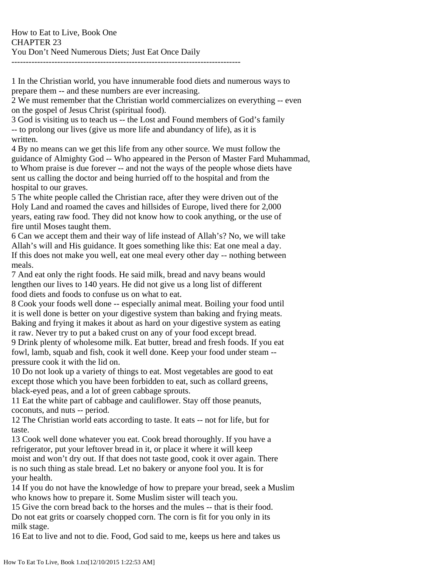1 In the Christian world, you have innumerable food diets and numerous ways to prepare them -- and these numbers are ever increasing.

2 We must remember that the Christian world commercializes on everything -- even on the gospel of Jesus Christ (spiritual food).

3 God is visiting us to teach us -- the Lost and Found members of God's family -- to prolong our lives (give us more life and abundancy of life), as it is written.

4 By no means can we get this life from any other source. We must follow the guidance of Almighty God -- Who appeared in the Person of Master Fard Muhammad, to Whom praise is due forever -- and not the ways of the people whose diets have sent us calling the doctor and being hurried off to the hospital and from the hospital to our graves.

5 The white people called the Christian race, after they were driven out of the Holy Land and roamed the caves and hillsides of Europe, lived there for 2,000 years, eating raw food. They did not know how to cook anything, or the use of fire until Moses taught them.

6 Can we accept them and their way of life instead of Allah's? No, we will take Allah's will and His guidance. It goes something like this: Eat one meal a day. If this does not make you well, eat one meal every other day -- nothing between meals.

7 And eat only the right foods. He said milk, bread and navy beans would lengthen our lives to 140 years. He did not give us a long list of different food diets and foods to confuse us on what to eat.

8 Cook your foods well done -- especially animal meat. Boiling your food until it is well done is better on your digestive system than baking and frying meats. Baking and frying it makes it about as hard on your digestive system as eating it raw. Never try to put a baked crust on any of your food except bread.

9 Drink plenty of wholesome milk. Eat butter, bread and fresh foods. If you eat fowl, lamb, squab and fish, cook it well done. Keep your food under steam - pressure cook it with the lid on.

10 Do not look up a variety of things to eat. Most vegetables are good to eat except those which you have been forbidden to eat, such as collard greens, black-eyed peas, and a lot of green cabbage sprouts.

11 Eat the white part of cabbage and cauliflower. Stay off those peanuts, coconuts, and nuts -- period.

12 The Christian world eats according to taste. It eats -- not for life, but for taste.

13 Cook well done whatever you eat. Cook bread thoroughly. If you have a refrigerator, put your leftover bread in it, or place it where it will keep moist and won't dry out. If that does not taste good, cook it over again. There is no such thing as stale bread. Let no bakery or anyone fool you. It is for your health.

14 If you do not have the knowledge of how to prepare your bread, seek a Muslim who knows how to prepare it. Some Muslim sister will teach you.

15 Give the corn bread back to the horses and the mules -- that is their food. Do not eat grits or coarsely chopped corn. The corn is fit for you only in its milk stage.

16 Eat to live and not to die. Food, God said to me, keeps us here and takes us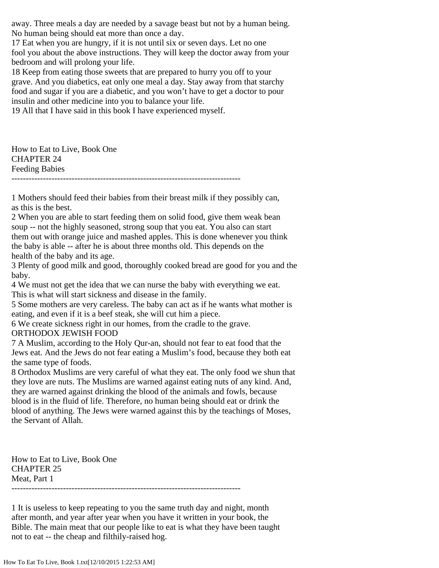away. Three meals a day are needed by a savage beast but not by a human being. No human being should eat more than once a day.

17 Eat when you are hungry, if it is not until six or seven days. Let no one fool you about the above instructions. They will keep the doctor away from your bedroom and will prolong your life.

18 Keep from eating those sweets that are prepared to hurry you off to your grave. And you diabetics, eat only one meal a day. Stay away from that starchy food and sugar if you are a diabetic, and you won't have to get a doctor to pour insulin and other medicine into you to balance your life.

19 All that I have said in this book I have experienced myself.

How to Eat to Live, Book One CHAPTER 24 Feeding Babies

--------------------------------------------------------------------------------

1 Mothers should feed their babies from their breast milk if they possibly can, as this is the best.

2 When you are able to start feeding them on solid food, give them weak bean soup -- not the highly seasoned, strong soup that you eat. You also can start them out with orange juice and mashed apples. This is done whenever you think the baby is able -- after he is about three months old. This depends on the health of the baby and its age.

3 Plenty of good milk and good, thoroughly cooked bread are good for you and the baby.

4 We must not get the idea that we can nurse the baby with everything we eat. This is what will start sickness and disease in the family.

5 Some mothers are very careless. The baby can act as if he wants what mother is eating, and even if it is a beef steak, she will cut him a piece.

6 We create sickness right in our homes, from the cradle to the grave. ORTHODOX JEWISH FOOD

7 A Muslim, according to the Holy Qur-an, should not fear to eat food that the Jews eat. And the Jews do not fear eating a Muslim's food, because they both eat the same type of foods.

8 Orthodox Muslims are very careful of what they eat. The only food we shun that they love are nuts. The Muslims are warned against eating nuts of any kind. And, they are warned against drinking the blood of the animals and fowls, because blood is in the fluid of life. Therefore, no human being should eat or drink the blood of anything. The Jews were warned against this by the teachings of Moses, the Servant of Allah.

How to Eat to Live, Book One CHAPTER 25 Meat, Part 1

--------------------------------------------------------------------------------

1 It is useless to keep repeating to you the same truth day and night, month after month, and year after year when you have it written in your book, the Bible. The main meat that our people like to eat is what they have been taught not to eat -- the cheap and filthily-raised hog.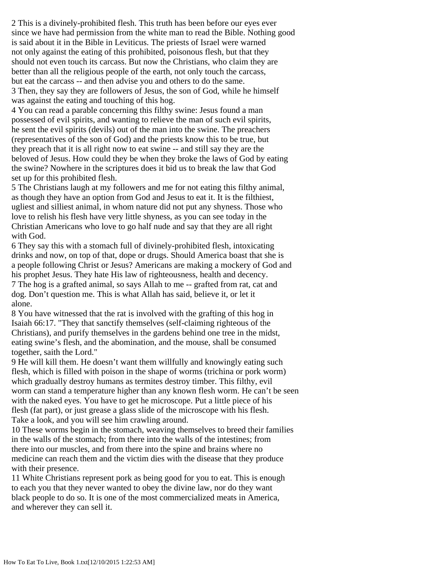2 This is a divinely-prohibited flesh. This truth has been before our eyes ever since we have had permission from the white man to read the Bible. Nothing good is said about it in the Bible in Leviticus. The priests of Israel were warned not only against the eating of this prohibited, poisonous flesh, but that they should not even touch its carcass. But now the Christians, who claim they are better than all the religious people of the earth, not only touch the carcass, but eat the carcass -- and then advise you and others to do the same. 3 Then, they say they are followers of Jesus, the son of God, while he himself was against the eating and touching of this hog.

4 You can read a parable concerning this filthy swine: Jesus found a man possessed of evil spirits, and wanting to relieve the man of such evil spirits, he sent the evil spirits (devils) out of the man into the swine. The preachers (representatives of the son of God) and the priests know this to be true, but they preach that it is all right now to eat swine -- and still say they are the beloved of Jesus. How could they be when they broke the laws of God by eating the swine? Nowhere in the scriptures does it bid us to break the law that God set up for this prohibited flesh.

5 The Christians laugh at my followers and me for not eating this filthy animal, as though they have an option from God and Jesus to eat it. It is the filthiest, ugliest and silliest animal, in whom nature did not put any shyness. Those who love to relish his flesh have very little shyness, as you can see today in the Christian Americans who love to go half nude and say that they are all right with God.

6 They say this with a stomach full of divinely-prohibited flesh, intoxicating drinks and now, on top of that, dope or drugs. Should America boast that she is a people following Christ or Jesus? Americans are making a mockery of God and his prophet Jesus. They hate His law of righteousness, health and decency. 7 The hog is a grafted animal, so says Allah to me -- grafted from rat, cat and dog. Don't question me. This is what Allah has said, believe it, or let it alone.

8 You have witnessed that the rat is involved with the grafting of this hog in Isaiah 66:17. "They that sanctify themselves (self-claiming righteous of the Christians), and purify themselves in the gardens behind one tree in the midst, eating swine's flesh, and the abomination, and the mouse, shall be consumed together, saith the Lord."

9 He will kill them. He doesn't want them willfully and knowingly eating such flesh, which is filled with poison in the shape of worms (trichina or pork worm) which gradually destroy humans as termites destroy timber. This filthy, evil worm can stand a temperature higher than any known flesh worm. He can't be seen with the naked eyes. You have to get he microscope. Put a little piece of his flesh (fat part), or just grease a glass slide of the microscope with his flesh. Take a look, and you will see him crawling around.

10 These worms begin in the stomach, weaving themselves to breed their families in the walls of the stomach; from there into the walls of the intestines; from there into our muscles, and from there into the spine and brains where no medicine can reach them and the victim dies with the disease that they produce with their presence.

11 White Christians represent pork as being good for you to eat. This is enough to each you that they never wanted to obey the divine law, nor do they want black people to do so. It is one of the most commercialized meats in America, and wherever they can sell it.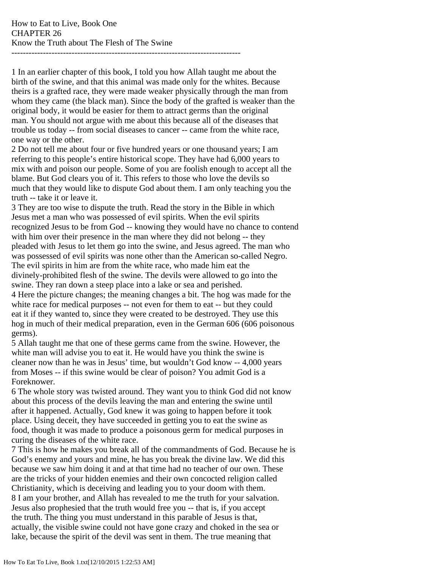1 In an earlier chapter of this book, I told you how Allah taught me about the birth of the swine, and that this animal was made only for the whites. Because theirs is a grafted race, they were made weaker physically through the man from whom they came (the black man). Since the body of the grafted is weaker than the original body, it would be easier for them to attract germs than the original man. You should not argue with me about this because all of the diseases that trouble us today -- from social diseases to cancer -- came from the white race, one way or the other.

2 Do not tell me about four or five hundred years or one thousand years; I am referring to this people's entire historical scope. They have had 6,000 years to mix with and poison our people. Some of you are foolish enough to accept all the blame. But God clears you of it. This refers to those who love the devils so much that they would like to dispute God about them. I am only teaching you the truth -- take it or leave it.

3 They are too wise to dispute the truth. Read the story in the Bible in which Jesus met a man who was possessed of evil spirits. When the evil spirits recognized Jesus to be from God -- knowing they would have no chance to contend with him over their presence in the man where they did not belong -- they pleaded with Jesus to let them go into the swine, and Jesus agreed. The man who was possessed of evil spirits was none other than the American so-called Negro. The evil spirits in him are from the white race, who made him eat the divinely-prohibited flesh of the swine. The devils were allowed to go into the swine. They ran down a steep place into a lake or sea and perished. 4 Here the picture changes; the meaning changes a bit. The hog was made for the white race for medical purposes -- not even for them to eat -- but they could eat it if they wanted to, since they were created to be destroyed. They use this hog in much of their medical preparation, even in the German 606 (606 poisonous germs).

5 Allah taught me that one of these germs came from the swine. However, the white man will advise you to eat it. He would have you think the swine is cleaner now than he was in Jesus' time, but wouldn't God know -- 4,000 years from Moses -- if this swine would be clear of poison? You admit God is a Foreknower.

6 The whole story was twisted around. They want you to think God did not know about this process of the devils leaving the man and entering the swine until after it happened. Actually, God knew it was going to happen before it took place. Using deceit, they have succeeded in getting you to eat the swine as food, though it was made to produce a poisonous germ for medical purposes in curing the diseases of the white race.

7 This is how he makes you break all of the commandments of God. Because he is God's enemy and yours and mine, he has you break the divine law. We did this because we saw him doing it and at that time had no teacher of our own. These are the tricks of your hidden enemies and their own concocted religion called Christianity, which is deceiving and leading you to your doom with them. 8 I am your brother, and Allah has revealed to me the truth for your salvation. Jesus also prophesied that the truth would free you -- that is, if you accept the truth. The thing you must understand in this parable of Jesus is that, actually, the visible swine could not have gone crazy and choked in the sea or lake, because the spirit of the devil was sent in them. The true meaning that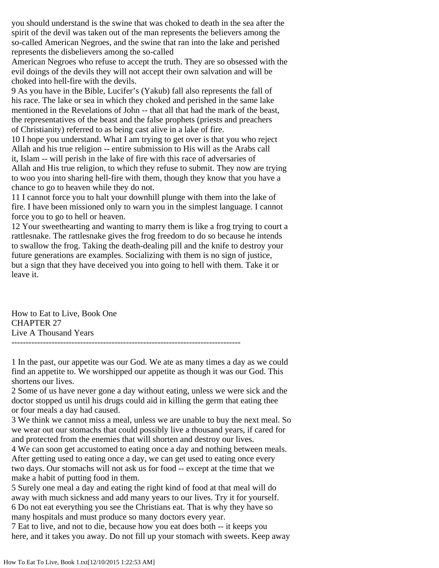you should understand is the swine that was choked to death in the sea after the spirit of the devil was taken out of the man represents the believers among the so-called American Negroes, and the swine that ran into the lake and perished represents the disbelievers among the so-called

American Negroes who refuse to accept the truth. They are so obsessed with the evil doings of the devils they will not accept their own salvation and will be choked into hell-fire with the devils.

9 As you have in the Bible, Lucifer's (Yakub) fall also represents the fall of his race. The lake or sea in which they choked and perished in the same lake mentioned in the Revelations of John -- that all that had the mark of the beast, the representatives of the beast and the false prophets (priests and preachers of Christianity) referred to as being cast alive in a lake of fire.

10 I hope you understand. What I am trying to get over is that you who reject Allah and his true religion -- entire submission to His will as the Arabs call it, Islam -- will perish in the lake of fire with this race of adversaries of Allah and His true religion, to which they refuse to submit. They now are trying to woo you into sharing hell-fire with them, though they know that you have a chance to go to heaven while they do not.

11 I cannot force you to halt your downhill plunge with them into the lake of fire. I have been missioned only to warn you in the simplest language. I cannot force you to go to hell or heaven.

12 Your sweethearting and wanting to marry them is like a frog trying to court a rattlesnake. The rattlesnake gives the frog freedom to do so because he intends to swallow the frog. Taking the death-dealing pill and the knife to destroy your future generations are examples. Socializing with them is no sign of justice, but a sign that they have deceived you into going to hell with them. Take it or leave it.

How to Eat to Live, Book One CHAPTER 27 Live A Thousand Years

--------------------------------------------------------------------------------

1 In the past, our appetite was our God. We ate as many times a day as we could find an appetite to. We worshipped our appetite as though it was our God. This shortens our lives.

2 Some of us have never gone a day without eating, unless we were sick and the doctor stopped us until his drugs could aid in killing the germ that eating thee or four meals a day had caused.

3 We think we cannot miss a meal, unless we are unable to buy the next meal. So we wear out our stomachs that could possibly live a thousand years, if cared for and protected from the enemies that will shorten and destroy our lives.

4 We can soon get accustomed to eating once a day and nothing between meals. After getting used to eating once a day, we can get used to eating once every two days. Our stomachs will not ask us for food -- except at the time that we make a habit of putting food in them.

5 Surely one meal a day and eating the right kind of food at that meal will do away with much sickness and add many years to our lives. Try it for yourself. 6 Do not eat everything you see the Christians eat. That is why they have so many hospitals and must produce so many doctors every year.

7 Eat to live, and not to die, because how you eat does both -- it keeps you here, and it takes you away. Do not fill up your stomach with sweets. Keep away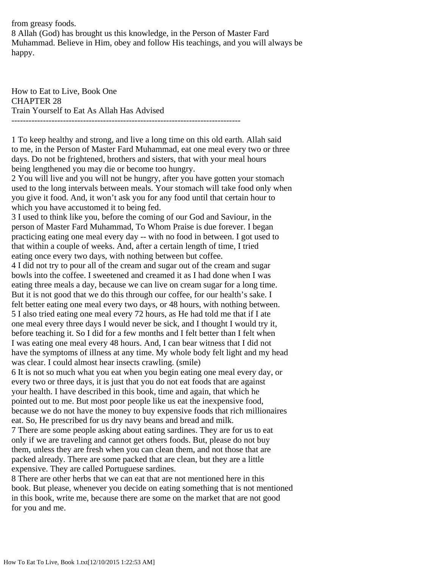from greasy foods. 8 Allah (God) has brought us this knowledge, in the Person of Master Fard Muhammad. Believe in Him, obey and follow His teachings, and you will always be happy.

How to Eat to Live, Book One CHAPTER 28 Train Yourself to Eat As Allah Has Advised

1 To keep healthy and strong, and live a long time on this old earth. Allah said to me, in the Person of Master Fard Muhammad, eat one meal every two or three days. Do not be frightened, brothers and sisters, that with your meal hours being lengthened you may die or become too hungry.

2 You will live and you will not be hungry, after you have gotten your stomach used to the long intervals between meals. Your stomach will take food only when you give it food. And, it won't ask you for any food until that certain hour to which you have accustomed it to being fed.

3 I used to think like you, before the coming of our God and Saviour, in the person of Master Fard Muhammad, To Whom Praise is due forever. I began practicing eating one meal every day -- with no food in between. I got used to that within a couple of weeks. And, after a certain length of time, I tried eating once every two days, with nothing between but coffee.

4 I did not try to pour all of the cream and sugar out of the cream and sugar bowls into the coffee. I sweetened and creamed it as I had done when I was eating three meals a day, because we can live on cream sugar for a long time. But it is not good that we do this through our coffee, for our health's sake. I felt better eating one meal every two days, or 48 hours, with nothing between. 5 I also tried eating one meal every 72 hours, as He had told me that if I ate one meal every three days I would never be sick, and I thought I would try it, before teaching it. So I did for a few months and I felt better than I felt when I was eating one meal every 48 hours. And, I can bear witness that I did not have the symptoms of illness at any time. My whole body felt light and my head was clear. I could almost hear insects crawling. (smile)

6 It is not so much what you eat when you begin eating one meal every day, or every two or three days, it is just that you do not eat foods that are against your health. I have described in this book, time and again, that which he pointed out to me. But most poor people like us eat the inexpensive food, because we do not have the money to buy expensive foods that rich millionaires eat. So, He prescribed for us dry navy beans and bread and milk.

7 There are some people asking about eating sardines. They are for us to eat only if we are traveling and cannot get others foods. But, please do not buy them, unless they are fresh when you can clean them, and not those that are packed already. There are some packed that are clean, but they are a little expensive. They are called Portuguese sardines.

8 There are other herbs that we can eat that are not mentioned here in this book. But please, whenever you decide on eating something that is not mentioned in this book, write me, because there are some on the market that are not good for you and me.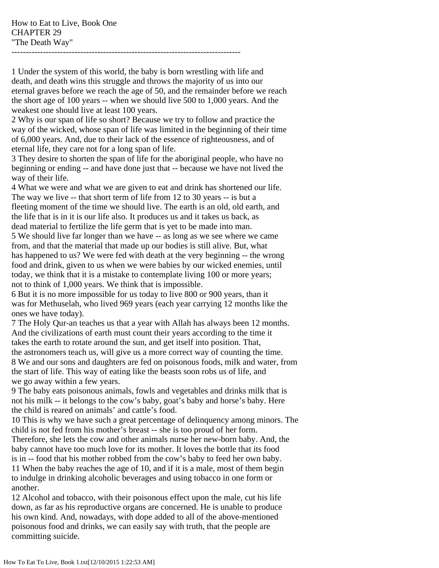1 Under the system of this world, the baby is born wrestling with life and death, and death wins this struggle and throws the majority of us into our eternal graves before we reach the age of 50, and the remainder before we reach the short age of 100 years -- when we should live 500 to 1,000 years. And the weakest one should live at least 100 years.

--------------------------------------------------------------------------------

2 Why is our span of life so short? Because we try to follow and practice the way of the wicked, whose span of life was limited in the beginning of their time of 6,000 years. And, due to their lack of the essence of righteousness, and of eternal life, they care not for a long span of life.

3 They desire to shorten the span of life for the aboriginal people, who have no beginning or ending -- and have done just that -- because we have not lived the way of their life.

4 What we were and what we are given to eat and drink has shortened our life. The way we live -- that short term of life from 12 to 30 years -- is but a fleeting moment of the time we should live. The earth is an old, old earth, and the life that is in it is our life also. It produces us and it takes us back, as dead material to fertilize the life germ that is yet to be made into man.

5 We should live far longer than we have -- as long as we see where we came from, and that the material that made up our bodies is still alive. But, what has happened to us? We were fed with death at the very beginning -- the wrong food and drink, given to us when we were babies by our wicked enemies, until today, we think that it is a mistake to contemplate living 100 or more years; not to think of 1,000 years. We think that is impossible.

6 But it is no more impossible for us today to live 800 or 900 years, than it was for Methuselah, who lived 969 years (each year carrying 12 months like the ones we have today).

7 The Holy Qur-an teaches us that a year with Allah has always been 12 months. And the civilizations of earth must count their years according to the time it takes the earth to rotate around the sun, and get itself into position. That, the astronomers teach us, will give us a more correct way of counting the time. 8 We and our sons and daughters are fed on poisonous foods, milk and water, from the start of life. This way of eating like the beasts soon robs us of life, and we go away within a few years.

9 The baby eats poisonous animals, fowls and vegetables and drinks milk that is not his milk -- it belongs to the cow's baby, goat's baby and horse's baby. Here the child is reared on animals' and cattle's food.

10 This is why we have such a great percentage of delinquency among minors. The child is not fed from his mother's breast -- she is too proud of her form.

Therefore, she lets the cow and other animals nurse her new-born baby. And, the baby cannot have too much love for its mother. It loves the bottle that its food is in -- food that his mother robbed from the cow's baby to feed her own baby. 11 When the baby reaches the age of 10, and if it is a male, most of them begin to indulge in drinking alcoholic beverages and using tobacco in one form or another.

12 Alcohol and tobacco, with their poisonous effect upon the male, cut his life down, as far as his reproductive organs are concerned. He is unable to produce his own kind. And, nowadays, with dope added to all of the above-mentioned poisonous food and drinks, we can easily say with truth, that the people are committing suicide.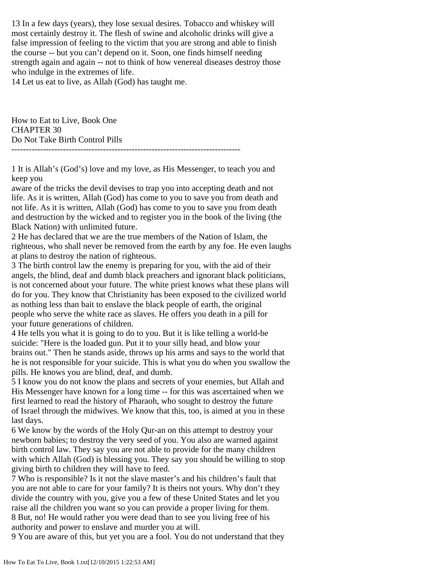13 In a few days (years), they lose sexual desires. Tobacco and whiskey will most certainly destroy it. The flesh of swine and alcoholic drinks will give a false impression of feeling to the victim that you are strong and able to finish the course -- but you can't depend on it. Soon, one finds himself needing strength again and again -- not to think of how venereal diseases destroy those who indulge in the extremes of life.

14 Let us eat to live, as Allah (God) has taught me.

How to Eat to Live, Book One CHAPTER 30 Do Not Take Birth Control Pills

--------------------------------------------------------------------------------

1 It is Allah's (God's) love and my love, as His Messenger, to teach you and keep you

aware of the tricks the devil devises to trap you into accepting death and not life. As it is written, Allah (God) has come to you to save you from death and not life. As it is written, Allah (God) has come to you to save you from death and destruction by the wicked and to register you in the book of the living (the Black Nation) with unlimited future.

2 He has declared that we are the true members of the Nation of Islam, the righteous, who shall never be removed from the earth by any foe. He even laughs at plans to destroy the nation of righteous.

3 The birth control law the enemy is preparing for you, with the aid of their angels, the blind, deaf and dumb black preachers and ignorant black politicians, is not concerned about your future. The white priest knows what these plans will do for you. They know that Christianity has been exposed to the civilized world as nothing less than bait to enslave the black people of earth, the original people who serve the white race as slaves. He offers you death in a pill for your future generations of children.

4 He tells you what it is going to do to you. But it is like telling a world-be suicide: "Here is the loaded gun. Put it to your silly head, and blow your brains out." Then he stands aside, throws up his arms and says to the world that he is not responsible for your suicide. This is what you do when you swallow the pills. He knows you are blind, deaf, and dumb.

5 I know you do not know the plans and secrets of your enemies, but Allah and His Messenger have known for a long time -- for this was ascertained when we first learned to read the history of Pharaoh, who sought to destroy the future of Israel through the midwives. We know that this, too, is aimed at you in these last days.

6 We know by the words of the Holy Qur-an on this attempt to destroy your newborn babies; to destroy the very seed of you. You also are warned against birth control law. They say you are not able to provide for the many children with which Allah (God) is blessing you. They say you should be willing to stop giving birth to children they will have to feed.

7 Who is responsible? Is it not the slave master's and his children's fault that you are not able to care for your family? It is theirs not yours. Why don't they divide the country with you, give you a few of these United States and let you raise all the children you want so you can provide a proper living for them. 8 But, no! He would rather you were dead than to see you living free of his authority and power to enslave and murder you at will.

9 You are aware of this, but yet you are a fool. You do not understand that they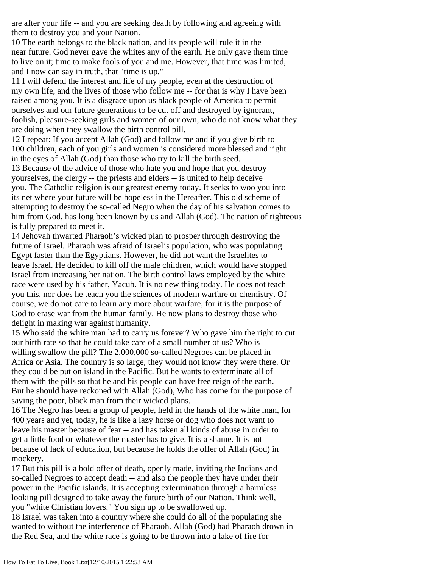are after your life -- and you are seeking death by following and agreeing with them to destroy you and your Nation.

10 The earth belongs to the black nation, and its people will rule it in the near future. God never gave the whites any of the earth. He only gave them time to live on it; time to make fools of you and me. However, that time was limited, and I now can say in truth, that "time is up."

11 I will defend the interest and life of my people, even at the destruction of my own life, and the lives of those who follow me -- for that is why I have been raised among you. It is a disgrace upon us black people of America to permit ourselves and our future generations to be cut off and destroyed by ignorant, foolish, pleasure-seeking girls and women of our own, who do not know what they are doing when they swallow the birth control pill.

12 I repeat: If you accept Allah (God) and follow me and if you give birth to 100 children, each of you girls and women is considered more blessed and right in the eyes of Allah (God) than those who try to kill the birth seed.

13 Because of the advice of those who hate you and hope that you destroy yourselves, the clergy -- the priests and elders -- is united to help deceive you. The Catholic religion is our greatest enemy today. It seeks to woo you into its net where your future will be hopeless in the Hereafter. This old scheme of attempting to destroy the so-called Negro when the day of his salvation comes to him from God, has long been known by us and Allah (God). The nation of righteous is fully prepared to meet it.

14 Jehovah thwarted Pharaoh's wicked plan to prosper through destroying the future of Israel. Pharaoh was afraid of Israel's population, who was populating Egypt faster than the Egyptians. However, he did not want the Israelites to leave Israel. He decided to kill off the male children, which would have stopped Israel from increasing her nation. The birth control laws employed by the white race were used by his father, Yacub. It is no new thing today. He does not teach you this, nor does he teach you the sciences of modern warfare or chemistry. Of course, we do not care to learn any more about warfare, for it is the purpose of God to erase war from the human family. He now plans to destroy those who delight in making war against humanity.

15 Who said the white man had to carry us forever? Who gave him the right to cut our birth rate so that he could take care of a small number of us? Who is willing swallow the pill? The 2,000,000 so-called Negroes can be placed in Africa or Asia. The country is so large, they would not know they were there. Or they could be put on island in the Pacific. But he wants to exterminate all of them with the pills so that he and his people can have free reign of the earth. But he should have reckoned with Allah (God), Who has come for the purpose of saving the poor, black man from their wicked plans.

16 The Negro has been a group of people, held in the hands of the white man, for 400 years and yet, today, he is like a lazy horse or dog who does not want to leave his master because of fear -- and has taken all kinds of abuse in order to get a little food or whatever the master has to give. It is a shame. It is not because of lack of education, but because he holds the offer of Allah (God) in mockery.

17 But this pill is a bold offer of death, openly made, inviting the Indians and so-called Negroes to accept death -- and also the people they have under their power in the Pacific islands. It is accepting extermination through a harmless looking pill designed to take away the future birth of our Nation. Think well, you "white Christian lovers." You sign up to be swallowed up.

18 Israel was taken into a country where she could do all of the populating she wanted to without the interference of Pharaoh. Allah (God) had Pharaoh drown in the Red Sea, and the white race is going to be thrown into a lake of fire for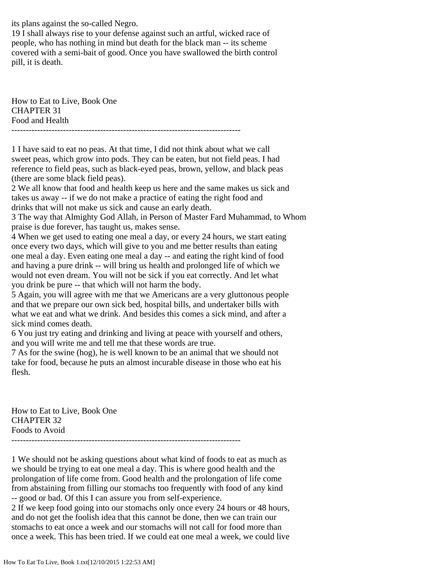its plans against the so-called Negro.

19 I shall always rise to your defense against such an artful, wicked race of people, who has nothing in mind but death for the black man -- its scheme covered with a semi-bait of good. Once you have swallowed the birth control pill, it is death.

How to Eat to Live, Book One CHAPTER 31 Food and Health

1 I have said to eat no peas. At that time, I did not think about what we call sweet peas, which grow into pods. They can be eaten, but not field peas. I had reference to field peas, such as black-eyed peas, brown, yellow, and black peas (there are some black field peas).

2 We all know that food and health keep us here and the same makes us sick and takes us away -- if we do not make a practice of eating the right food and drinks that will not make us sick and cause an early death.

3 The way that Almighty God Allah, in Person of Master Fard Muhammad, to Whom praise is due forever, has taught us, makes sense.

4 When we get used to eating one meal a day, or every 24 hours, we start eating once every two days, which will give to you and me better results than eating one meal a day. Even eating one meal a day -- and eating the right kind of food and having a pure drink -- will bring us health and prolonged life of which we would not even dream. You will not be sick if you eat correctly. And let what you drink be pure -- that which will not harm the body.

5 Again, you will agree with me that we Americans are a very gluttonous people and that we prepare our own sick bed, hospital bills, and undertaker bills with what we eat and what we drink. And besides this comes a sick mind, and after a sick mind comes death.

6 You just try eating and drinking and living at peace with yourself and others, and you will write me and tell me that these words are true.

7 As for the swine (hog), he is well known to be an animal that we should not take for food, because he puts an almost incurable disease in those who eat his flesh.

How to Eat to Live, Book One CHAPTER 32 Foods to Avoid

--------------------------------------------------------------------------------

1 We should not be asking questions about what kind of foods to eat as much as we should be trying to eat one meal a day. This is where good health and the prolongation of life come from. Good health and the prolongation of life come from abstaining from filling our stomachs too frequently with food of any kind -- good or bad. Of this I can assure you from self-experience.

2 If we keep food going into our stomachs only once every 24 hours or 48 hours, and do not get the foolish idea that this cannot be done, then we can train our stomachs to eat once a week and our stomachs will not call for food more than once a week. This has been tried. If we could eat one meal a week, we could live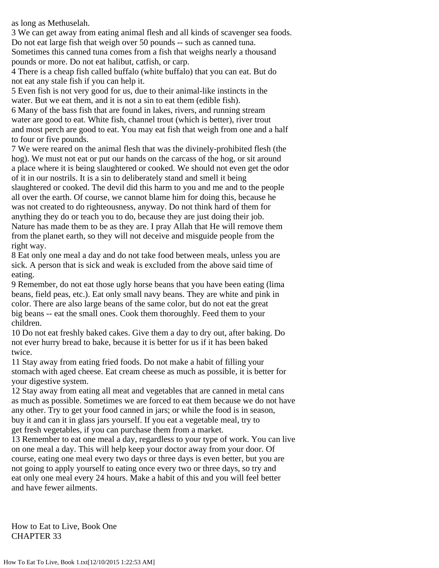as long as Methuselah.

3 We can get away from eating animal flesh and all kinds of scavenger sea foods. Do not eat large fish that weigh over 50 pounds -- such as canned tuna.

Sometimes this canned tuna comes from a fish that weighs nearly a thousand pounds or more. Do not eat halibut, catfish, or carp.

4 There is a cheap fish called buffalo (white buffalo) that you can eat. But do not eat any stale fish if you can help it.

5 Even fish is not very good for us, due to their animal-like instincts in the water. But we eat them, and it is not a sin to eat them (edible fish).

6 Many of the bass fish that are found in lakes, rivers, and running stream water are good to eat. White fish, channel trout (which is better), river trout and most perch are good to eat. You may eat fish that weigh from one and a half to four or five pounds.

7 We were reared on the animal flesh that was the divinely-prohibited flesh (the hog). We must not eat or put our hands on the carcass of the hog, or sit around a place where it is being slaughtered or cooked. We should not even get the odor of it in our nostrils. It is a sin to deliberately stand and smell it being slaughtered or cooked. The devil did this harm to you and me and to the people all over the earth. Of course, we cannot blame him for doing this, because he was not created to do righteousness, anyway. Do not think hard of them for anything they do or teach you to do, because they are just doing their job. Nature has made them to be as they are. I pray Allah that He will remove them from the planet earth, so they will not deceive and misguide people from the right way.

8 Eat only one meal a day and do not take food between meals, unless you are sick. A person that is sick and weak is excluded from the above said time of eating.

9 Remember, do not eat those ugly horse beans that you have been eating (lima beans, field peas, etc.). Eat only small navy beans. They are white and pink in color. There are also large beans of the same color, but do not eat the great big beans -- eat the small ones. Cook them thoroughly. Feed them to your children.

10 Do not eat freshly baked cakes. Give them a day to dry out, after baking. Do not ever hurry bread to bake, because it is better for us if it has been baked twice.

11 Stay away from eating fried foods. Do not make a habit of filling your stomach with aged cheese. Eat cream cheese as much as possible, it is better for your digestive system.

12 Stay away from eating all meat and vegetables that are canned in metal cans as much as possible. Sometimes we are forced to eat them because we do not have any other. Try to get your food canned in jars; or while the food is in season, buy it and can it in glass jars yourself. If you eat a vegetable meal, try to get fresh vegetables, if you can purchase them from a market.

13 Remember to eat one meal a day, regardless to your type of work. You can live on one meal a day. This will help keep your doctor away from your door. Of course, eating one meal every two days or three days is even better, but you are not going to apply yourself to eating once every two or three days, so try and eat only one meal every 24 hours. Make a habit of this and you will feel better and have fewer ailments.

How to Eat to Live, Book One CHAPTER 33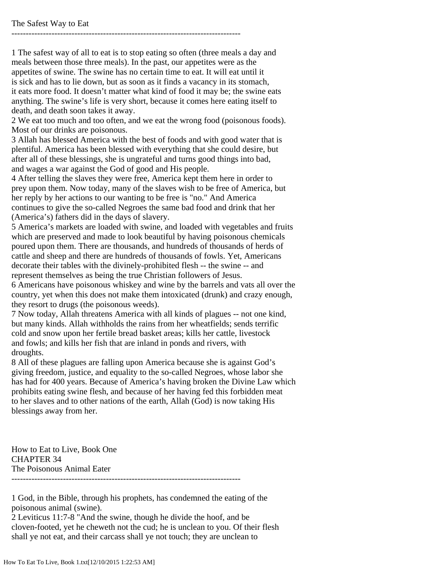1 The safest way of all to eat is to stop eating so often (three meals a day and meals between those three meals). In the past, our appetites were as the appetites of swine. The swine has no certain time to eat. It will eat until it is sick and has to lie down, but as soon as it finds a vacancy in its stomach, it eats more food. It doesn't matter what kind of food it may be; the swine eats anything. The swine's life is very short, because it comes here eating itself to death, and death soon takes it away.

--------------------------------------------------------------------------------

2 We eat too much and too often, and we eat the wrong food (poisonous foods). Most of our drinks are poisonous.

3 Allah has blessed America with the best of foods and with good water that is plentiful. America has been blessed with everything that she could desire, but after all of these blessings, she is ungrateful and turns good things into bad, and wages a war against the God of good and His people.

4 After telling the slaves they were free, America kept them here in order to prey upon them. Now today, many of the slaves wish to be free of America, but her reply by her actions to our wanting to be free is "no." And America continues to give the so-called Negroes the same bad food and drink that her (America's) fathers did in the days of slavery.

5 America's markets are loaded with swine, and loaded with vegetables and fruits which are preserved and made to look beautiful by having poisonous chemicals poured upon them. There are thousands, and hundreds of thousands of herds of cattle and sheep and there are hundreds of thousands of fowls. Yet, Americans decorate their tables with the divinely-prohibited flesh -- the swine -- and represent themselves as being the true Christian followers of Jesus.

6 Americans have poisonous whiskey and wine by the barrels and vats all over the country, yet when this does not make them intoxicated (drunk) and crazy enough, they resort to drugs (the poisonous weeds).

7 Now today, Allah threatens America with all kinds of plagues -- not one kind, but many kinds. Allah withholds the rains from her wheatfields; sends terrific cold and snow upon her fertile bread basket areas; kills her cattle, livestock and fowls; and kills her fish that are inland in ponds and rivers, with droughts.

8 All of these plagues are falling upon America because she is against God's giving freedom, justice, and equality to the so-called Negroes, whose labor she has had for 400 years. Because of America's having broken the Divine Law which prohibits eating swine flesh, and because of her having fed this forbidden meat to her slaves and to other nations of the earth, Allah (God) is now taking His blessings away from her.

How to Eat to Live, Book One CHAPTER 34 The Poisonous Animal Eater --------------------------------------------------------------------------------

1 God, in the Bible, through his prophets, has condemned the eating of the poisonous animal (swine).

2 Leviticus 11:7-8 "And the swine, though he divide the hoof, and be cloven-footed, yet he cheweth not the cud; he is unclean to you. Of their flesh shall ye not eat, and their carcass shall ye not touch; they are unclean to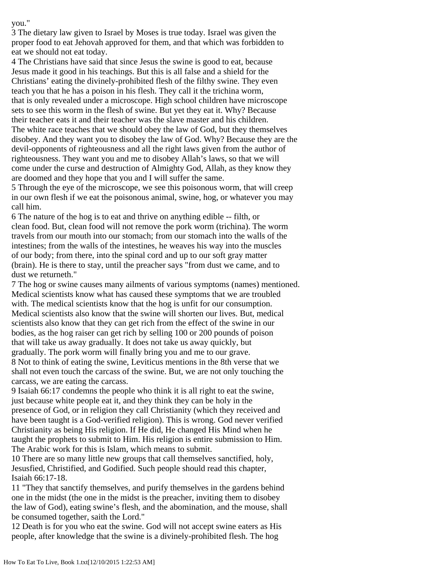## you."

3 The dietary law given to Israel by Moses is true today. Israel was given the proper food to eat Jehovah approved for them, and that which was forbidden to eat we should not eat today.

4 The Christians have said that since Jesus the swine is good to eat, because Jesus made it good in his teachings. But this is all false and a shield for the Christians' eating the divinely-prohibited flesh of the filthy swine. They even teach you that he has a poison in his flesh. They call it the trichina worm, that is only revealed under a microscope. High school children have microscope sets to see this worm in the flesh of swine. But yet they eat it. Why? Because their teacher eats it and their teacher was the slave master and his children. The white race teaches that we should obey the law of God, but they themselves disobey. And they want you to disobey the law of God. Why? Because they are the devil-opponents of righteousness and all the right laws given from the author of righteousness. They want you and me to disobey Allah's laws, so that we will come under the curse and destruction of Almighty God, Allah, as they know they are doomed and they hope that you and I will suffer the same.

5 Through the eye of the microscope, we see this poisonous worm, that will creep in our own flesh if we eat the poisonous animal, swine, hog, or whatever you may call him.

6 The nature of the hog is to eat and thrive on anything edible -- filth, or clean food. But, clean food will not remove the pork worm (trichina). The worm travels from our mouth into our stomach; from our stomach into the walls of the intestines; from the walls of the intestines, he weaves his way into the muscles of our body; from there, into the spinal cord and up to our soft gray matter (brain). He is there to stay, until the preacher says "from dust we came, and to dust we returneth."

7 The hog or swine causes many ailments of various symptoms (names) mentioned. Medical scientists know what has caused these symptoms that we are troubled with. The medical scientists know that the hog is unfit for our consumption. Medical scientists also know that the swine will shorten our lives. But, medical scientists also know that they can get rich from the effect of the swine in our bodies, as the hog raiser can get rich by selling 100 or 200 pounds of poison that will take us away gradually. It does not take us away quickly, but gradually. The pork worm will finally bring you and me to our grave. 8 Not to think of eating the swine, Leviticus mentions in the 8th verse that we shall not even touch the carcass of the swine. But, we are not only touching the carcass, we are eating the carcass.

9 Isaiah 66:17 condemns the people who think it is all right to eat the swine, just because white people eat it, and they think they can be holy in the presence of God, or in religion they call Christianity (which they received and have been taught is a God-verified religion). This is wrong. God never verified Christianity as being His religion. If He did, He changed His Mind when he taught the prophets to submit to Him. His religion is entire submission to Him. The Arabic work for this is Islam, which means to submit.

10 There are so many little new groups that call themselves sanctified, holy, Jesusfied, Christified, and Godified. Such people should read this chapter, Isaiah 66:17-18.

11 "They that sanctify themselves, and purify themselves in the gardens behind one in the midst (the one in the midst is the preacher, inviting them to disobey the law of God), eating swine's flesh, and the abomination, and the mouse, shall be consumed together, saith the Lord."

12 Death is for you who eat the swine. God will not accept swine eaters as His people, after knowledge that the swine is a divinely-prohibited flesh. The hog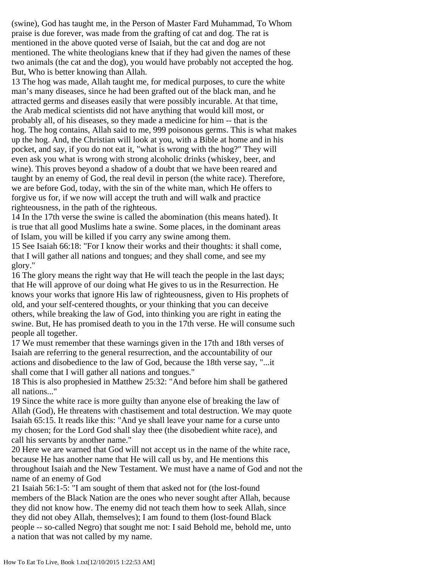(swine), God has taught me, in the Person of Master Fard Muhammad, To Whom praise is due forever, was made from the grafting of cat and dog. The rat is mentioned in the above quoted verse of Isaiah, but the cat and dog are not mentioned. The white theologians knew that if they had given the names of these two animals (the cat and the dog), you would have probably not accepted the hog. But, Who is better knowing than Allah.

13 The hog was made, Allah taught me, for medical purposes, to cure the white man's many diseases, since he had been grafted out of the black man, and he attracted germs and diseases easily that were possibly incurable. At that time, the Arab medical scientists did not have anything that would kill most, or probably all, of his diseases, so they made a medicine for him -- that is the hog. The hog contains, Allah said to me, 999 poisonous germs. This is what makes up the hog. And, the Christian will look at you, with a Bible at home and in his pocket, and say, if you do not eat it, "what is wrong with the hog?" They will even ask you what is wrong with strong alcoholic drinks (whiskey, beer, and wine). This proves beyond a shadow of a doubt that we have been reared and taught by an enemy of God, the real devil in person (the white race). Therefore, we are before God, today, with the sin of the white man, which He offers to forgive us for, if we now will accept the truth and will walk and practice righteousness, in the path of the righteous.

14 In the 17th verse the swine is called the abomination (this means hated). It is true that all good Muslims hate a swine. Some places, in the dominant areas of Islam, you will be killed if you carry any swine among them.

15 See Isaiah 66:18: "For I know their works and their thoughts: it shall come, that I will gather all nations and tongues; and they shall come, and see my glory."

16 The glory means the right way that He will teach the people in the last days; that He will approve of our doing what He gives to us in the Resurrection. He knows your works that ignore His law of righteousness, given to His prophets of old, and your self-centered thoughts, or your thinking that you can deceive others, while breaking the law of God, into thinking you are right in eating the swine. But, He has promised death to you in the 17th verse. He will consume such people all together.

17 We must remember that these warnings given in the 17th and 18th verses of Isaiah are referring to the general resurrection, and the accountability of our actions and disobedience to the law of God, because the 18th verse say, "...it shall come that I will gather all nations and tongues."

18 This is also prophesied in Matthew 25:32: "And before him shall be gathered all nations..."

19 Since the white race is more guilty than anyone else of breaking the law of Allah (God), He threatens with chastisement and total destruction. We may quote Isaiah 65:15. It reads like this: "And ye shall leave your name for a curse unto my chosen; for the Lord God shall slay thee (the disobedient white race), and call his servants by another name."

20 Here we are warned that God will not accept us in the name of the white race, because He has another name that He will call us by, and He mentions this throughout Isaiah and the New Testament. We must have a name of God and not the name of an enemy of God

21 Isaiah 56:1-5: "I am sought of them that asked not for (the lost-found members of the Black Nation are the ones who never sought after Allah, because they did not know how. The enemy did not teach them how to seek Allah, since they did not obey Allah, themselves); I am found to them (lost-found Black people -- so-called Negro) that sought me not: I said Behold me, behold me, unto a nation that was not called by my name.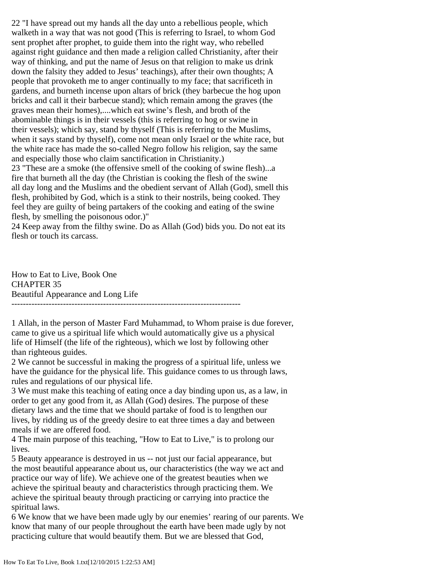22 "I have spread out my hands all the day unto a rebellious people, which walketh in a way that was not good (This is referring to Israel, to whom God sent prophet after prophet, to guide them into the right way, who rebelled against right guidance and then made a religion called Christianity, after their way of thinking, and put the name of Jesus on that religion to make us drink down the falsity they added to Jesus' teachings), after their own thoughts; A people that provoketh me to anger continually to my face; that sacrificeth in gardens, and burneth incense upon altars of brick (they barbecue the hog upon bricks and call it their barbecue stand); which remain among the graves (the graves mean their homes),....which eat swine's flesh, and broth of the abominable things is in their vessels (this is referring to hog or swine in their vessels); which say, stand by thyself (This is referring to the Muslims, when it says stand by thyself), come not mean only Israel or the white race, but the white race has made the so-called Negro follow his religion, say the same and especially those who claim sanctification in Christianity.) 23 "These are a smoke (the offensive smell of the cooking of swine flesh)...a fire that burneth all the day (the Christian is cooking the flesh of the swine all day long and the Muslims and the obedient servant of Allah (God), smell this flesh, prohibited by God, which is a stink to their nostrils, being cooked. They feel they are guilty of being partakers of the cooking and eating of the swine flesh, by smelling the poisonous odor.)"

24 Keep away from the filthy swine. Do as Allah (God) bids you. Do not eat its flesh or touch its carcass.

How to Eat to Live, Book One CHAPTER 35 Beautiful Appearance and Long Life --------------------------------------------------------------------------------

1 Allah, in the person of Master Fard Muhammad, to Whom praise is due forever, came to give us a spiritual life which would automatically give us a physical life of Himself (the life of the righteous), which we lost by following other than righteous guides.

2 We cannot be successful in making the progress of a spiritual life, unless we have the guidance for the physical life. This guidance comes to us through laws, rules and regulations of our physical life.

3 We must make this teaching of eating once a day binding upon us, as a law, in order to get any good from it, as Allah (God) desires. The purpose of these dietary laws and the time that we should partake of food is to lengthen our lives, by ridding us of the greedy desire to eat three times a day and between meals if we are offered food.

4 The main purpose of this teaching, "How to Eat to Live," is to prolong our lives.

5 Beauty appearance is destroyed in us -- not just our facial appearance, but the most beautiful appearance about us, our characteristics (the way we act and practice our way of life). We achieve one of the greatest beauties when we achieve the spiritual beauty and characteristics through practicing them. We achieve the spiritual beauty through practicing or carrying into practice the spiritual laws.

6 We know that we have been made ugly by our enemies' rearing of our parents. We know that many of our people throughout the earth have been made ugly by not practicing culture that would beautify them. But we are blessed that God,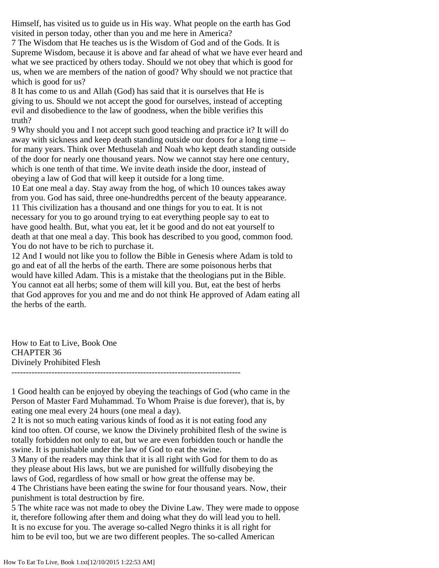Himself, has visited us to guide us in His way. What people on the earth has God visited in person today, other than you and me here in America?

7 The Wisdom that He teaches us is the Wisdom of God and of the Gods. It is Supreme Wisdom, because it is above and far ahead of what we have ever heard and what we see practiced by others today. Should we not obey that which is good for us, when we are members of the nation of good? Why should we not practice that which is good for us?

8 It has come to us and Allah (God) has said that it is ourselves that He is giving to us. Should we not accept the good for ourselves, instead of accepting evil and disobedience to the law of goodness, when the bible verifies this truth?

9 Why should you and I not accept such good teaching and practice it? It will do away with sickness and keep death standing outside our doors for a long time - for many years. Think over Methuselah and Noah who kept death standing outside of the door for nearly one thousand years. Now we cannot stay here one century, which is one tenth of that time. We invite death inside the door, instead of obeying a law of God that will keep it outside for a long time.

10 Eat one meal a day. Stay away from the hog, of which 10 ounces takes away from you. God has said, three one-hundredths percent of the beauty appearance. 11 This civilization has a thousand and one things for you to eat. It is not necessary for you to go around trying to eat everything people say to eat to have good health. But, what you eat, let it be good and do not eat yourself to death at that one meal a day. This book has described to you good, common food. You do not have to be rich to purchase it.

12 And I would not like you to follow the Bible in Genesis where Adam is told to go and eat of all the herbs of the earth. There are some poisonous herbs that would have killed Adam. This is a mistake that the theologians put in the Bible. You cannot eat all herbs; some of them will kill you. But, eat the best of herbs that God approves for you and me and do not think He approved of Adam eating all the herbs of the earth.

How to Eat to Live, Book One CHAPTER 36 Divinely Prohibited Flesh --------------------------------------------------------------------------------

1 Good health can be enjoyed by obeying the teachings of God (who came in the Person of Master Fard Muhammad. To Whom Praise is due forever), that is, by eating one meal every 24 hours (one meal a day).

2 It is not so much eating various kinds of food as it is not eating food any kind too often. Of course, we know the Divinely prohibited flesh of the swine is totally forbidden not only to eat, but we are even forbidden touch or handle the swine. It is punishable under the law of God to eat the swine.

3 Many of the readers may think that it is all right with God for them to do as they please about His laws, but we are punished for willfully disobeying the laws of God, regardless of how small or how great the offense may be. 4 The Christians have been eating the swine for four thousand years. Now, their punishment is total destruction by fire.

5 The white race was not made to obey the Divine Law. They were made to oppose it, therefore following after them and doing what they do will lead you to hell. It is no excuse for you. The average so-called Negro thinks it is all right for him to be evil too, but we are two different peoples. The so-called American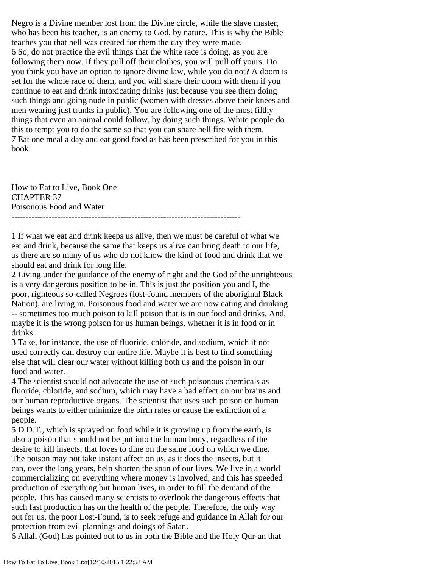Negro is a Divine member lost from the Divine circle, while the slave master, who has been his teacher, is an enemy to God, by nature. This is why the Bible teaches you that hell was created for them the day they were made. 6 So, do not practice the evil things that the white race is doing, as you are following them now. If they pull off their clothes, you will pull off yours. Do you think you have an option to ignore divine law, while you do not? A doom is set for the whole race of them, and you will share their doom with them if you continue to eat and drink intoxicating drinks just because you see them doing such things and going nude in public (women with dresses above their knees and men wearing just trunks in public). You are following one of the most filthy things that even an animal could follow, by doing such things. White people do this to tempt you to do the same so that you can share hell fire with them. 7 Eat one meal a day and eat good food as has been prescribed for you in this book.

How to Eat to Live, Book One CHAPTER 37 Poisonous Food and Water --------------------------------------------------------------------------------

1 If what we eat and drink keeps us alive, then we must be careful of what we eat and drink, because the same that keeps us alive can bring death to our life, as there are so many of us who do not know the kind of food and drink that we should eat and drink for long life.

2 Living under the guidance of the enemy of right and the God of the unrighteous is a very dangerous position to be in. This is just the position you and I, the poor, righteous so-called Negroes (lost-found members of the aboriginal Black Nation), are living in. Poisonous food and water we are now eating and drinking -- sometimes too much poison to kill poison that is in our food and drinks. And, maybe it is the wrong poison for us human beings, whether it is in food or in drinks.

3 Take, for instance, the use of fluoride, chloride, and sodium, which if not used correctly can destroy our entire life. Maybe it is best to find something else that will clear our water without killing both us and the poison in our food and water.

4 The scientist should not advocate the use of such poisonous chemicals as fluoride, chloride, and sodium, which may have a bad effect on our brains and our human reproductive organs. The scientist that uses such poison on human beings wants to either minimize the birth rates or cause the extinction of a people.

5 D.D.T., which is sprayed on food while it is growing up from the earth, is also a poison that should not be put into the human body, regardless of the desire to kill insects, that loves to dine on the same food on which we dine. The poison may not take instant affect on us, as it does the insects, but it can, over the long years, help shorten the span of our lives. We live in a world commercializing on everything where money is involved, and this has speeded production of everything but human lives, in order to fill the demand of the people. This has caused many scientists to overlook the dangerous effects that such fast production has on the health of the people. Therefore, the only way out for us, the poor Lost-Found, is to seek refuge and guidance in Allah for our protection from evil plannings and doings of Satan.

6 Allah (God) has pointed out to us in both the Bible and the Holy Qur-an that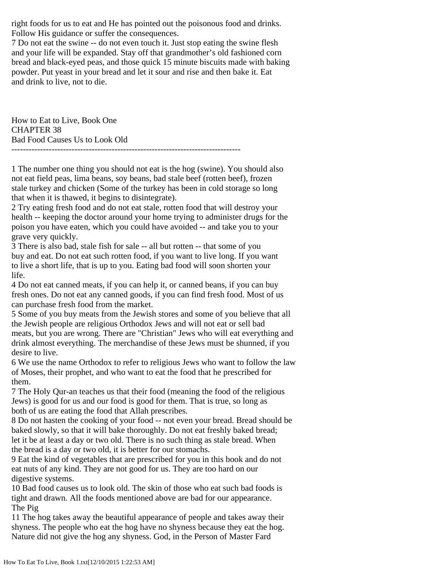right foods for us to eat and He has pointed out the poisonous food and drinks. Follow His guidance or suffer the consequences.

7 Do not eat the swine -- do not even touch it. Just stop eating the swine flesh and your life will be expanded. Stay off that grandmother's old fashioned corn bread and black-eyed peas, and those quick 15 minute biscuits made with baking powder. Put yeast in your bread and let it sour and rise and then bake it. Eat and drink to live, not to die.

How to Eat to Live, Book One CHAPTER 38 Bad Food Causes Us to Look Old

--------------------------------------------------------------------------------

1 The number one thing you should not eat is the hog (swine). You should also not eat field peas, lima beans, soy beans, bad stale beef (rotten beef), frozen stale turkey and chicken (Some of the turkey has been in cold storage so long that when it is thawed, it begins to disintegrate).

2 Try eating fresh food and do not eat stale, rotten food that will destroy your health -- keeping the doctor around your home trying to administer drugs for the poison you have eaten, which you could have avoided -- and take you to your grave very quickly.

3 There is also bad, stale fish for sale -- all but rotten -- that some of you buy and eat. Do not eat such rotten food, if you want to live long. If you want to live a short life, that is up to you. Eating bad food will soon shorten your life.

4 Do not eat canned meats, if you can help it, or canned beans, if you can buy fresh ones. Do not eat any canned goods, if you can find fresh food. Most of us can purchase fresh food from the market.

5 Some of you buy meats from the Jewish stores and some of you believe that all the Jewish people are religious Orthodox Jews and will not eat or sell bad meats, but you are wrong. There are "Christian" Jews who will eat everything and drink almost everything. The merchandise of these Jews must be shunned, if you desire to live.

6 We use the name Orthodox to refer to religious Jews who want to follow the law of Moses, their prophet, and who want to eat the food that he prescribed for them.

7 The Holy Qur-an teaches us that their food (meaning the food of the religious Jews) is good for us and our food is good for them. That is true, so long as both of us are eating the food that Allah prescribes.

8 Do not hasten the cooking of your food -- not even your bread. Bread should be baked slowly, so that it will bake thoroughly. Do not eat freshly baked bread; let it be at least a day or two old. There is no such thing as stale bread. When the bread is a day or two old, it is better for our stomachs.

9 Eat the kind of vegetables that are prescribed for you in this book and do not eat nuts of any kind. They are not good for us. They are too hard on our digestive systems.

10 Bad food causes us to look old. The skin of those who eat such bad foods is tight and drawn. All the foods mentioned above are bad for our appearance. The Pig

11 The hog takes away the beautiful appearance of people and takes away their shyness. The people who eat the hog have no shyness because they eat the hog. Nature did not give the hog any shyness. God, in the Person of Master Fard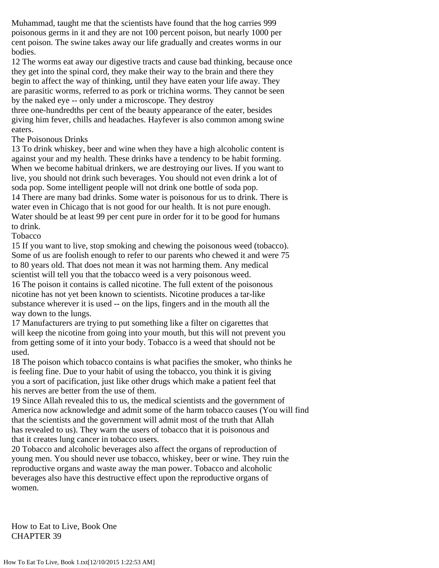Muhammad, taught me that the scientists have found that the hog carries 999 poisonous germs in it and they are not 100 percent poison, but nearly 1000 per cent poison. The swine takes away our life gradually and creates worms in our bodies.

12 The worms eat away our digestive tracts and cause bad thinking, because once they get into the spinal cord, they make their way to the brain and there they begin to affect the way of thinking, until they have eaten your life away. They are parasitic worms, referred to as pork or trichina worms. They cannot be seen by the naked eye -- only under a microscope. They destroy

three one-hundredths per cent of the beauty appearance of the eater, besides giving him fever, chills and headaches. Hayfever is also common among swine eaters.

## The Poisonous Drinks

13 To drink whiskey, beer and wine when they have a high alcoholic content is against your and my health. These drinks have a tendency to be habit forming. When we become habitual drinkers, we are destroying our lives. If you want to live, you should not drink such beverages. You should not even drink a lot of soda pop. Some intelligent people will not drink one bottle of soda pop. 14 There are many bad drinks. Some water is poisonous for us to drink. There is water even in Chicago that is not good for our health. It is not pure enough. Water should be at least 99 per cent pure in order for it to be good for humans to drink.

Tobacco

15 If you want to live, stop smoking and chewing the poisonous weed (tobacco). Some of us are foolish enough to refer to our parents who chewed it and were 75 to 80 years old. That does not mean it was not harming them. Any medical scientist will tell you that the tobacco weed is a very poisonous weed. 16 The poison it contains is called nicotine. The full extent of the poisonous nicotine has not yet been known to scientists. Nicotine produces a tar-like substance wherever it is used -- on the lips, fingers and in the mouth all the way down to the lungs.

17 Manufacturers are trying to put something like a filter on cigarettes that will keep the nicotine from going into your mouth, but this will not prevent you from getting some of it into your body. Tobacco is a weed that should not be used.

18 The poison which tobacco contains is what pacifies the smoker, who thinks he is feeling fine. Due to your habit of using the tobacco, you think it is giving you a sort of pacification, just like other drugs which make a patient feel that his nerves are better from the use of them.

19 Since Allah revealed this to us, the medical scientists and the government of America now acknowledge and admit some of the harm tobacco causes (You will find that the scientists and the government will admit most of the truth that Allah has revealed to us). They warn the users of tobacco that it is poisonous and that it creates lung cancer in tobacco users.

20 Tobacco and alcoholic beverages also affect the organs of reproduction of young men. You should never use tobacco, whiskey, beer or wine. They ruin the reproductive organs and waste away the man power. Tobacco and alcoholic beverages also have this destructive effect upon the reproductive organs of women.

How to Eat to Live, Book One CHAPTER 39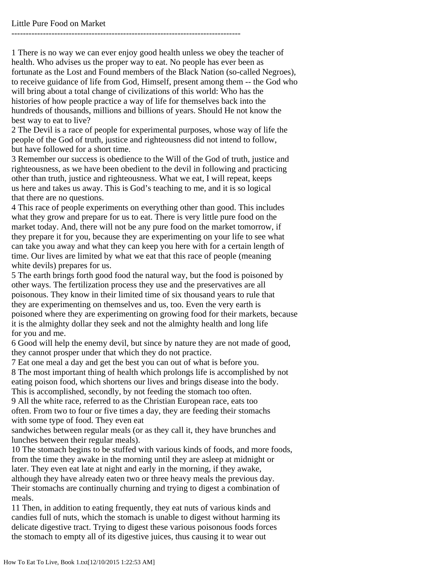1 There is no way we can ever enjoy good health unless we obey the teacher of health. Who advises us the proper way to eat. No people has ever been as fortunate as the Lost and Found members of the Black Nation (so-called Negroes), to receive guidance of life from God, Himself, present among them -- the God who will bring about a total change of civilizations of this world: Who has the histories of how people practice a way of life for themselves back into the hundreds of thousands, millions and billions of years. Should He not know the best way to eat to live?

--------------------------------------------------------------------------------

2 The Devil is a race of people for experimental purposes, whose way of life the people of the God of truth, justice and righteousness did not intend to follow, but have followed for a short time.

3 Remember our success is obedience to the Will of the God of truth, justice and righteousness, as we have been obedient to the devil in following and practicing other than truth, justice and righteousness. What we eat, I will repeat, keeps us here and takes us away. This is God's teaching to me, and it is so logical that there are no questions.

4 This race of people experiments on everything other than good. This includes what they grow and prepare for us to eat. There is very little pure food on the market today. And, there will not be any pure food on the market tomorrow, if they prepare it for you, because they are experimenting on your life to see what can take you away and what they can keep you here with for a certain length of time. Our lives are limited by what we eat that this race of people (meaning white devils) prepares for us.

5 The earth brings forth good food the natural way, but the food is poisoned by other ways. The fertilization process they use and the preservatives are all poisonous. They know in their limited time of six thousand years to rule that they are experimenting on themselves and us, too. Even the very earth is poisoned where they are experimenting on growing food for their markets, because it is the almighty dollar they seek and not the almighty health and long life for you and me.

6 Good will help the enemy devil, but since by nature they are not made of good, they cannot prosper under that which they do not practice.

7 Eat one meal a day and get the best you can out of what is before you.

8 The most important thing of health which prolongs life is accomplished by not eating poison food, which shortens our lives and brings disease into the body. This is accomplished, secondly, by not feeding the stomach too often.

9 All the white race, referred to as the Christian European race, eats too often. From two to four or five times a day, they are feeding their stomachs with some type of food. They even eat

sandwiches between regular meals (or as they call it, they have brunches and lunches between their regular meals).

10 The stomach begins to be stuffed with various kinds of foods, and more foods, from the time they awake in the morning until they are asleep at midnight or later. They even eat late at night and early in the morning, if they awake, although they have already eaten two or three heavy meals the previous day. Their stomachs are continually churning and trying to digest a combination of meals.

11 Then, in addition to eating frequently, they eat nuts of various kinds and candies full of nuts, which the stomach is unable to digest without harming its delicate digestive tract. Trying to digest these various poisonous foods forces the stomach to empty all of its digestive juices, thus causing it to wear out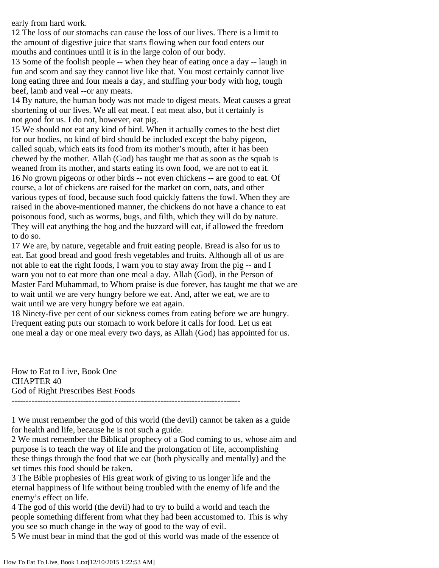early from hard work.

12 The loss of our stomachs can cause the loss of our lives. There is a limit to the amount of digestive juice that starts flowing when our food enters our mouths and continues until it is in the large colon of our body.

13 Some of the foolish people -- when they hear of eating once a day -- laugh in fun and scorn and say they cannot live like that. You most certainly cannot live long eating three and four meals a day, and stuffing your body with hog, tough beef, lamb and veal --or any meats.

14 By nature, the human body was not made to digest meats. Meat causes a great shortening of our lives. We all eat meat. I eat meat also, but it certainly is not good for us. I do not, however, eat pig.

15 We should not eat any kind of bird. When it actually comes to the best diet for our bodies, no kind of bird should be included except the baby pigeon, called squab, which eats its food from its mother's mouth, after it has been chewed by the mother. Allah (God) has taught me that as soon as the squab is weaned from its mother, and starts eating its own food, we are not to eat it. 16 No grown pigeons or other birds -- not even chickens -- are good to eat. Of course, a lot of chickens are raised for the market on corn, oats, and other various types of food, because such food quickly fattens the fowl. When they are raised in the above-mentioned manner, the chickens do not have a chance to eat poisonous food, such as worms, bugs, and filth, which they will do by nature. They will eat anything the hog and the buzzard will eat, if allowed the freedom to do so.

17 We are, by nature, vegetable and fruit eating people. Bread is also for us to eat. Eat good bread and good fresh vegetables and fruits. Although all of us are not able to eat the right foods, I warn you to stay away from the pig -- and I warn you not to eat more than one meal a day. Allah (God), in the Person of Master Fard Muhammad, to Whom praise is due forever, has taught me that we are to wait until we are very hungry before we eat. And, after we eat, we are to wait until we are very hungry before we eat again.

18 Ninety-five per cent of our sickness comes from eating before we are hungry. Frequent eating puts our stomach to work before it calls for food. Let us eat one meal a day or one meal every two days, as Allah (God) has appointed for us.

How to Eat to Live, Book One CHAPTER 40 God of Right Prescribes Best Foods --------------------------------------------------------------------------------

1 We must remember the god of this world (the devil) cannot be taken as a guide for health and life, because he is not such a guide.

2 We must remember the Biblical prophecy of a God coming to us, whose aim and purpose is to teach the way of life and the prolongation of life, accomplishing these things through the food that we eat (both physically and mentally) and the set times this food should be taken.

3 The Bible prophesies of His great work of giving to us longer life and the eternal happiness of life without being troubled with the enemy of life and the enemy's effect on life.

4 The god of this world (the devil) had to try to build a world and teach the people something different from what they had been accustomed to. This is why you see so much change in the way of good to the way of evil.

5 We must bear in mind that the god of this world was made of the essence of